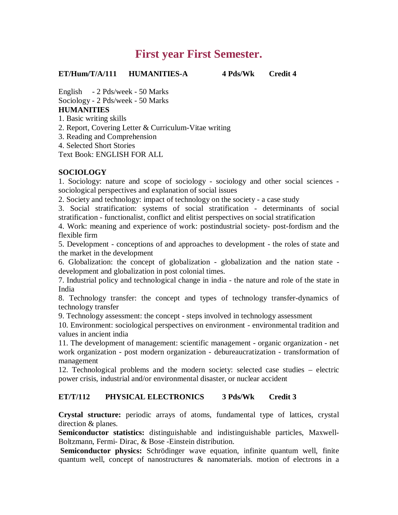# **First year First Semester.**

**ET/Hum/T/A/111 HUMANITIES-A 4 Pds/Wk Credit 4**

English - 2 Pds/week - 50 Marks Sociology - 2 Pds/week - 50 Marks **HUMANITIES**

1. Basic writing skills

2. Report, Covering Letter & Curriculum-Vitae writing

3. Reading and Comprehension

4. Selected Short Stories

Text Book: ENGLISH FOR ALL

# **SOCIOLOGY**

1. Sociology: nature and scope of sociology - sociology and other social sciences sociological perspectives and explanation of social issues

2. Society and technology: impact of technology on the society - a case study

3. Social stratification: systems of social stratification - determinants of social stratification - functionalist, conflict and elitist perspectives on social stratification

4. Work: meaning and experience of work: postindustrial society- post-fordism and the flexible firm

5. Development - conceptions of and approaches to development - the roles of state and the market in the development

6. Globalization: the concept of globalization - globalization and the nation state development and globalization in post colonial times.

7. Industrial policy and technological change in india - the nature and role of the state in India

8. Technology transfer: the concept and types of technology transfer-dynamics of technology transfer

9. Technology assessment: the concept - steps involved in technology assessment

10. Environment: sociological perspectives on environment - environmental tradition and values in ancient india

11. The development of management: scientific management - organic organization - net work organization - post modern organization - debureaucratization - transformation of management

12. Technological problems and the modern society: selected case studies – electric power crisis, industrial and/or environmental disaster, or nuclear accident

# **ET/T/112 PHYSICAL ELECTRONICS 3 Pds/Wk Credit 3**

**Crystal structure:** periodic arrays of atoms, fundamental type of lattices, crystal direction & planes.

**Semiconductor statistics:** distinguishable and indistinguishable particles, Maxwell-Boltzmann, Fermi- Dirac, & Bose -Einstein distribution.

**Semiconductor physics:** Schrödinger wave equation, infinite quantum well, finite quantum well, concept of nanostructures & nanomaterials. motion of electrons in a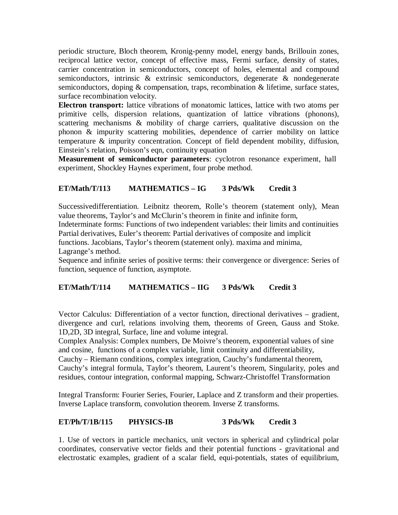periodic structure, Bloch theorem, Kronig-penny model, energy bands, Brillouin zones, reciprocal lattice vector, concept of effective mass, Fermi surface, density of states, carrier concentration in semiconductors, concept of holes, elemental and compound semiconductors, intrinsic & extrinsic semiconductors, degenerate & nondegenerate semiconductors, doping & compensation, traps, recombination & lifetime, surface states, surface recombination velocity.

**Electron transport:** lattice vibrations of monatomic lattices, lattice with two atoms per primitive cells, dispersion relations, quantization of lattice vibrations (phonons), scattering mechanisms & mobility of charge carriers, qualitative discussion on the phonon & impurity scattering mobilities, dependence of carrier mobility on lattice temperature & impurity concentration. Concept of field dependent mobility, diffusion, Einstein's relation, Poisson's eqn, continuity equation

**Measurement of semiconductor parameters**: cyclotron resonance experiment, hall experiment, Shockley Haynes experiment, four probe method.

# **ET/Math/T/113 MATHEMATICS – IG 3 Pds/Wk Credit 3**

Successivedifferentiation. Leibnitz theorem, Rolle's theorem (statement only), Mean value theorems, Taylor's and McClurin's theorem in finite and infinite form,

Indeterminate forms: Functions of two independent variables: their limits and continuities Partial derivatives, Euler's theorem: Partial derivatives of composite and implicit

functions. Jacobians, Taylor's theorem (statement only). maxima and minima,

Lagrange's method.

Sequence and infinite series of positive terms: their convergence or divergence: Series of function, sequence of function, asymptote.

# **ET/Math/T/114 MATHEMATICS – IIG 3 Pds/Wk Credit 3**

Vector Calculus: Differentiation of a vector function, directional derivatives – gradient, divergence and curl, relations involving them, theorems of Green, Gauss and Stoke. 1D,2D, 3D integral, Surface, line and volume integral.

Complex Analysis: Complex numbers, De Moivre's theorem, exponential values of sine and cosine, functions of a complex variable, limit continuity and differentiability,

Cauchy – Riemann conditions, complex integration, Cauchy's fundamental theorem, Cauchy's integral formula, Taylor's theorem, Laurent's theorem, Singularity, poles and residues, contour integration, conformal mapping, Schwarz-Christoffel Transformation

Integral Transform: Fourier Series, Fourier, Laplace and Z transform and their properties. Inverse Laplace transform, convolution theorem. Inverse Z transforms.

# **ET/Ph/T/1B/115 PHYSICS-IB 3 Pds/Wk Credit 3**

1. Use of vectors in particle mechanics, unit vectors in spherical and cylindrical polar coordinates, conservative vector fields and their potential functions - gravitational and electrostatic examples, gradient of a scalar field, equi-potentials, states of equilibrium,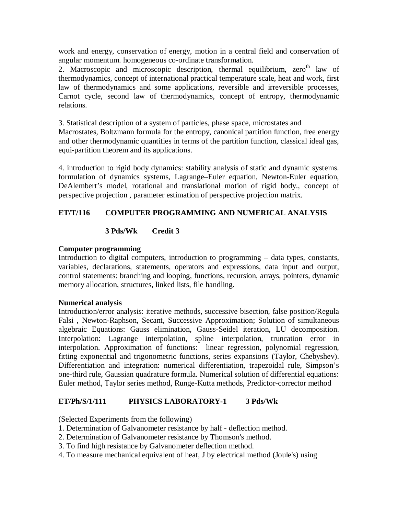work and energy, conservation of energy, motion in a central field and conservation of angular momentum. homogeneous co-ordinate transformation.

2. Macroscopic and microscopic description, thermal equilibrium,  $zero<sup>th</sup>$  law of thermodynamics, concept of international practical temperature scale, heat and work, first law of thermodynamics and some applications, reversible and irreversible processes, Carnot cycle, second law of thermodynamics, concept of entropy, thermodynamic relations.

3. Statistical description of a system of particles, phase space, microstates and Macrostates, Boltzmann formula for the entropy, canonical partition function, free energy and other thermodynamic quantities in terms of the partition function, classical ideal gas, equi-partition theorem and its applications.

4. introduction to rigid body dynamics: stability analysis of static and dynamic systems. formulation of dynamics systems, Lagrange–Euler equation, Newton-Euler equation, DeAlembert's model, rotational and translational motion of rigid body., concept of perspective projection , parameter estimation of perspective projection matrix.

# **ET/T/116 COMPUTER PROGRAMMING AND NUMERICAL ANALYSIS**

# **3 Pds/Wk Credit 3**

# **Computer programming**

Introduction to digital computers, introduction to programming – data types, constants, variables, declarations, statements, operators and expressions, data input and output, control statements: branching and looping, functions, recursion, arrays, pointers, dynamic memory allocation, structures, linked lists, file handling.

# **Numerical analysis**

Introduction/error analysis: iterative methods, successive bisection, false position/Regula Falsi , Newton-Raphson, Secant, Successive Approximation; Solution of simultaneous algebraic Equations: Gauss elimination, Gauss-Seidel iteration, LU decomposition. Interpolation: Lagrange interpolation, spline interpolation, truncation error in interpolation. Approximation of functions: linear regression, polynomial regression, fitting exponential and trigonometric functions, series expansions (Taylor, Chebyshev). Differentiation and integration: numerical differentiation, trapezoidal rule, Simpson's one-third rule, Gaussian quadrature formula. Numerical solution of differential equations: Euler method, Taylor series method, Runge-Kutta methods, Predictor-corrector method

# **ET/Ph/S/1/111 PHYSICS LABORATORY-1 3 Pds/Wk**

(Selected Experiments from the following)

- 1. Determination of Galvanometer resistance by half deflection method.
- 2. Determination of Galvanometer resistance by Thomson's method.
- 3. To find high resistance by Galvanometer deflection method.
- 4. To measure mechanical equivalent of heat, J by electrical method (Joule's) using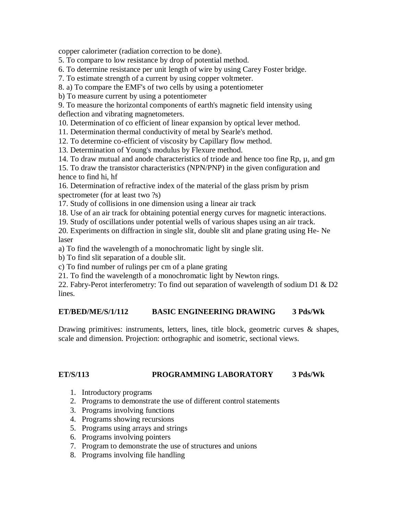copper calorimeter (radiation correction to be done).

5. To compare to low resistance by drop of potential method.

6. To determine resistance per unit length of wire by using Carey Foster bridge.

7. To estimate strength of a current by using copper voltmeter.

8. a) To compare the EMF's of two cells by using a potentiometer

b) To measure current by using a potentiometer

9. To measure the horizontal components of earth's magnetic field intensity using deflection and vibrating magnetometers.

10. Determination of co efficient of linear expansion by optical lever method.

11. Determination thermal conductivity of metal by Searle's method.

12. To determine co-efficient of viscosity by Capillary flow method.

13. Determination of Young's modulus by Flexure method.

14. To draw mutual and anode characteristics of triode and hence too fine  $Rp, \mu$ , and gm

15. To draw the transistor characteristics (NPN/PNP) in the given configuration and hence to find hi, hf

16. Determination of refractive index of the material of the glass prism by prism spectrometer (for at least two ?s)

17. Study of collisions in one dimension using a linear air track

18. Use of an air track for obtaining potential energy curves for magnetic interactions.

19. Study of oscillations under potential wells of various shapes using an air track.

20. Experiments on diffraction in single slit, double slit and plane grating using He- Ne laser

a) To find the wavelength of a monochromatic light by single slit.

b) To find slit separation of a double slit.

c) To find number of rulings per cm of a plane grating

21. To find the wavelength of a monochromatic light by Newton rings.

22. Fabry-Perot interferometry: To find out separation of wavelength of sodium D1 & D2 lines.

# **ET/BED/ME/S/1/112 BASIC ENGINEERING DRAWING 3 Pds/Wk**

Drawing primitives: instruments, letters, lines, title block, geometric curves & shapes, scale and dimension. Projection: orthographic and isometric, sectional views.

# **ET/S/113 PROGRAMMING LABORATORY 3 Pds/Wk**

- 1. Introductory programs
- 2. Programs to demonstrate the use of different control statements
- 3. Programs involving functions
- 4. Programs showing recursions
- 5. Programs using arrays and strings
- 6. Programs involving pointers
- 7. Program to demonstrate the use of structures and unions
- 8. Programs involving file handling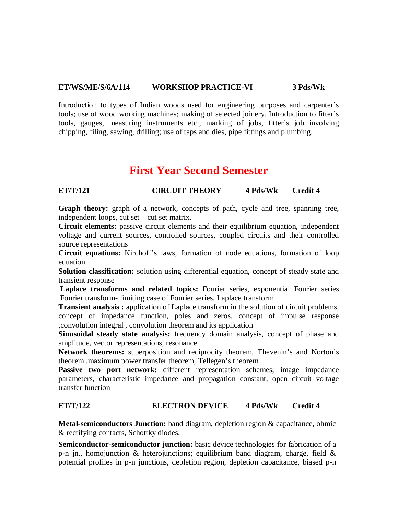# **ET/WS/ME/S/6A/114 WORKSHOP PRACTICE-VI 3 Pds/Wk**

Introduction to types of Indian woods used for engineering purposes and carpenter's tools; use of wood working machines; making of selected joinery. Introduction to fitter's tools, gauges, measuring instruments etc., marking of jobs, fitter's job involving chipping, filing, sawing, drilling; use of taps and dies, pipe fittings and plumbing.

# **First Year Second Semester**

# **ET/T/121 CIRCUIT THEORY 4 Pds/Wk Credit 4**

**Graph theory:** graph of a network, concepts of path, cycle and tree, spanning tree, independent loops, cut set – cut set matrix.

**Circuit elements:** passive circuit elements and their equilibrium equation, independent voltage and current sources, controlled sources, coupled circuits and their controlled source representations

**Circuit equations:** Kirchoff's laws, formation of node equations, formation of loop equation

**Solution classification:** solution using differential equation, concept of steady state and transient response

**Laplace transforms and related topics:** Fourier series, exponential Fourier series Fourier transform- limiting case of Fourier series, Laplace transform

**Transient analysis :** application of Laplace transform in the solution of circuit problems, concept of impedance function, poles and zeros, concept of impulse response ,convolution integral , convolution theorem and its application

**Sinusoidal steady state analysis:** frequency domain analysis, concept of phase and amplitude, vector representations, resonance

**Network theorems:** superposition and reciprocity theorem, Thevenin's and Norton's theorem ,maximum power transfer theorem, Tellegen's theorem

Passive two port network: different representation schemes, image impedance parameters, characteristic impedance and propagation constant, open circuit voltage transfer function

# **ET/T/122 ELECTRON DEVICE 4 Pds/Wk Credit 4**

**Metal-semiconductors Junction:** band diagram, depletion region & capacitance, ohmic & rectifying contacts, Schottky diodes.

**Semiconductor-semiconductor junction:** basic device technologies for fabrication of a p-n jn., homojunction & heterojunctions; equilibrium band diagram, charge, field & potential profiles in p-n junctions, depletion region, depletion capacitance, biased p-n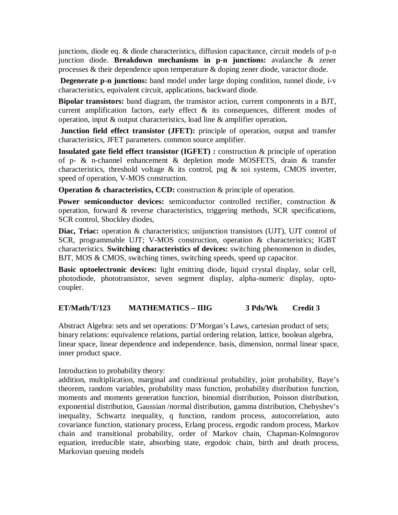junctions, diode eq. & diode characteristics, diffusion capacitance, circuit models of p-n junction diode. **Breakdown mechanisms in p-n junctions:** avalanche & zener processes & their dependence upon temperature & doping zener diode, varactor diode.

**Degenerate p-n junctions:** band model under large doping condition, tunnel diode, i-v characteristics, equivalent circuit, applications, backward diode.

**Bipolar transistors:** band diagram, the transistor action, current components in a BJT, current amplification factors, early effect & its consequences, different modes of operation, input & output characteristics, load line & amplifier operation**.**

**Junction field effect transistor (JFET):** principle of operation, output and transfer characteristics, JFET parameters. common source amplifier.

**Insulated gate field effect transistor (IGFET) :** construction & principle of operation of p- & n-channel enhancement & depletion mode MOSFETS, drain & transfer characteristics, threshold voltage  $\&$  its control, psg  $\&$  soi systems, CMOS inverter, speed of operation, V-MOS construction.

**Operation & characteristics, CCD:** construction & principle of operation.

**Power semiconductor devices:** semiconductor controlled rectifier, construction & operation, forward & reverse characteristics, triggering methods, SCR specifications, SCR control, Shockley diodes,

**Diac, Triac:** operation & characteristics; unijunction transistors (UJT), UJT control of SCR, programmable UJT; V-MOS construction, operation & characteristics; IGBT characteristics. **Switching characteristics of devices:** switching phenomenon in diodes, BJT, MOS & CMOS, switching times, switching speeds, speed up capacitor.

**Basic optoelectronic devices:** light emitting diode, liquid crystal display, solar cell, photodiode, phototransistor, seven segment display, alpha-numeric display, optocoupler.

# **ET/Math/T/123 MATHEMATICS – IIIG 3 Pds/Wk Credit 3**

Abstract Algebra: sets and set operations: D'Morgan's Laws, cartesian product of sets; binary relations: equivalence relations, partial ordering relation, lattice, boolean algebra, linear space, linear dependence and independence. basis, dimension, normal linear space, inner product space.

Introduction to probability theory:

addition, multiplication, marginal and conditional probability, joint probability, Baye's theorem, random variables, probability mass function, probability distribution function, moments and moments generation function, binomial distribution, Poisson distribution, exponential distribution, Gaussian /normal distribution, gamma distribution, Chebyshev's inequality, Schwartz inequality, q function, random process, autocorrelation, auto covariance function, stationary process, Erlang process, ergodic random process, Markov chain and transitional probability, order of Markov chain, Chapman-Kolmogorov equation, irreducible state, absorbing state, ergodoic chain, birth and death process, Markovian queuing models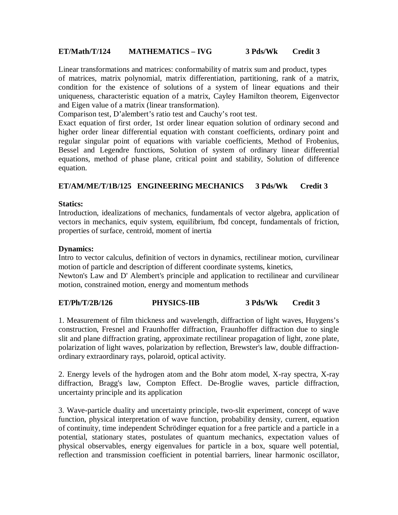# **ET/Math/T/124 MATHEMATICS – IVG 3 Pds/Wk Credit 3**

Linear transformations and matrices: conformability of matrix sum and product, types of matrices, matrix polynomial, matrix differentiation, partitioning, rank of a matrix, condition for the existence of solutions of a system of linear equations and their uniqueness, characteristic equation of a matrix, Cayley Hamilton theorem, Eigenvector and Eigen value of a matrix (linear transformation).

Comparison test, D'alembert's ratio test and Cauchy's root test.

Exact equation of first order, 1st order linear equation solution of ordinary second and higher order linear differential equation with constant coefficients, ordinary point and regular singular point of equations with variable coefficients, Method of Frobenius, Bessel and Legendre functions, Solution of system of ordinary linear differential equations, method of phase plane, critical point and stability, Solution of difference equation.

# **ET/AM/ME/T/1B/125 ENGINEERING MECHANICS 3 Pds/Wk Credit 3**

# **Statics:**

Introduction, idealizations of mechanics, fundamentals of vector algebra, application of vectors in mechanics, equiv system, equilibrium, fbd concept, fundamentals of friction, properties of surface, centroid, moment of inertia

#### **Dynamics:**

Intro to vector calculus, definition of vectors in dynamics, rectilinear motion, curvilinear motion of particle and description of different coordinate systems, kinetics, Newton's Law and D' Alembert's principle and application to rectilinear and curvilinear

motion, constrained motion, energy and momentum methods

# **ET/Ph/T/2B/126 PHYSICS-IIB 3 Pds/Wk Credit 3**

1. Measurement of film thickness and wavelength, diffraction of light waves, Huygens's construction, Fresnel and Fraunhoffer diffraction, Fraunhoffer diffraction due to single slit and plane diffraction grating, approximate rectilinear propagation of light, zone plate, polarization of light waves, polarization by reflection, Brewster's law, double diffractionordinary extraordinary rays, polaroid, optical activity.

2. Energy levels of the hydrogen atom and the Bohr atom model, X-ray spectra, X-ray diffraction, Bragg's law, Compton Effect. De-Broglie waves, particle diffraction, uncertainty principle and its application

3. Wave-particle duality and uncertainty principle, two-slit experiment, concept of wave function, physical interpretation of wave function, probability density, current, equation of continuity, time independent Schrödinger equation for a free particle and a particle in a potential, stationary states, postulates of quantum mechanics, expectation values of physical observables, energy eigenvalues for particle in a box, square well potential, reflection and transmission coefficient in potential barriers, linear harmonic oscillator,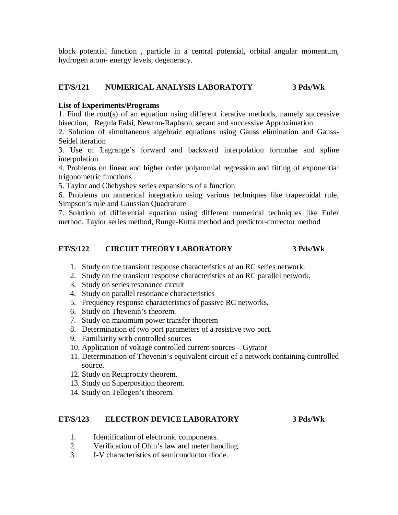block potential function , particle in a central potential, orbital angular momentum, hydrogen atom- energy levels, degeneracy.

# **ET/S/121 NUMERICAL ANALYSIS LABORATOTY 3 Pds/Wk**

# **List of Experiments/Programs**

1. Find the root(s) of an equation using different iterative methods, namely successive bisection, Regula Falsi, Newton-Raphson, secant and successive Approximation

2. Solution of simultaneous algebraic equations using Gauss elimination and Gauss-Seidel iteration

3. Use of Lagrange's forward and backward interpolation formulae and spline interpolation

4. Problems on linear and higher order polynomial regression and fitting of exponential trigonometric functions

5. Taylor and Chebyshev series expansions of a function

6. Problems on numerical integration using various techniques like trapezoidal rule, Simpson's rule and Gaussian Quadrature

7. Solution of differential equation using different numerical techniques like Euler method, Taylor series method, Runge-Kutta method and predictor-corrector method

# **ET/S/122 CIRCUIT THEORY LABORATORY 3 Pds/Wk**

- 1. Study on the transient response characteristics of an RC series network.
- 2. Study on the transient response characteristics of an RC parallel network.
- 3. Study on series resonance circuit
- 4. Study on parallel resonance characteristics
- 5. Frequency response characteristics of passive RC networks.
- 6. Study on Thevenin's theorem.
- 7. Study on maximum power transfer theorem
- 8. Determination of two port parameters of a resistive two port.
- 9. Familiarity with controlled sources
- 10. Application of voltage controlled current sources Gyrator
- 11. Determination of Thevenin's equivalent circuit of a network containing controlled source.
- 12. Study on Reciprocity theorem.
- 13. Study on Superposition theorem.
- 14. Study on Tellegen's theorem.

# **ET/S/123 ELECTRON DEVICE LABORATORY 3 Pds/Wk**

- 1. Identification of electronic components.
- 2. Verification of Ohm's law and meter handling.
- 3. I-V characteristics of semiconductor diode.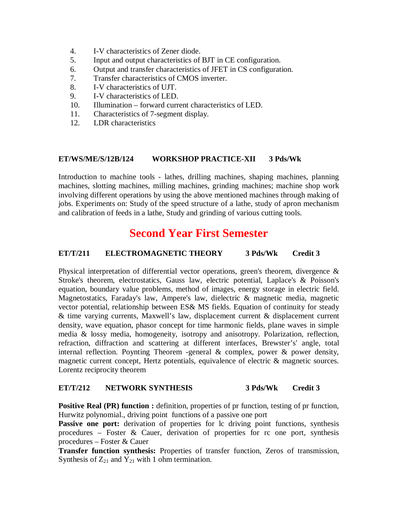- 4. I-V characteristics of Zener diode.
- 5. Input and output characteristics of BJT in CE configuration.
- 6. Output and transfer characteristics of JFET in CS configuration.
- 7. Transfer characteristics of CMOS inverter.
- 8. I-V characteristics of UJT.
- 9. I-V characteristics of LED.
- 10. Illumination forward current characteristics of LED.
- 11. Characteristics of 7-segment display.
- 12. LDR characteristics

# **ET/WS/ME/S/12B/124 WORKSHOP PRACTICE-XII 3 Pds/Wk**

Introduction to machine tools - lathes, drilling machines, shaping machines, planning machines, slotting machines, milling machines, grinding machines; machine shop work involving different operations by using the above mentioned machines through making of jobs. Experiments on: Study of the speed structure of a lathe, study of apron mechanism and calibration of feeds in a lathe, Study and grinding of various cutting tools.

# **Second Year First Semester**

# **ET/T/211 ELECTROMAGNETIC THEORY 3 Pds/Wk Credit 3**

Physical interpretation of differential vector operations, green's theorem, divergence & Stroke's theorem, electrostatics, Gauss law, electric potential, Laplace's & Poisson's equation, boundary value problems, method of images, energy storage in electric field. Magnetostatics, Faraday's law, Ampere's law, dielectric & magnetic media, magnetic vector potential, relationship between ES& MS fields. Equation of continuity for steady & time varying currents, Maxwell's law, displacement current & displacement current density, wave equation, phasor concept for time harmonic fields, plane waves in simple media & lossy media, homogeneity, isotropy and anisotropy. Polarization, reflection, refraction, diffraction and scattering at different interfaces, Brewster's' angle, total internal reflection. Poynting Theorem -general  $\&$  complex, power  $\&$  power density, magnetic current concept, Hertz potentials, equivalence of electric & magnetic sources. Lorentz reciprocity theorem

# **ET/T/212 NETWORK SYNTHESIS 3 Pds/Wk Credit 3**

**Positive Real (PR) function :** definition, properties of pr function, testing of pr function, Hurwitz polynomial., driving point functions of a passive one port

Passive one port: derivation of properties for lc driving point functions, synthesis procedures – Foster & Cauer, derivation of properties for rc one port, synthesis procedures – Foster & Cauer

**Transfer function synthesis:** Properties of transfer function, Zeros of transmission, Synthesis of  $Z_{21}$  and  $Y_{21}$  with 1 ohm termination.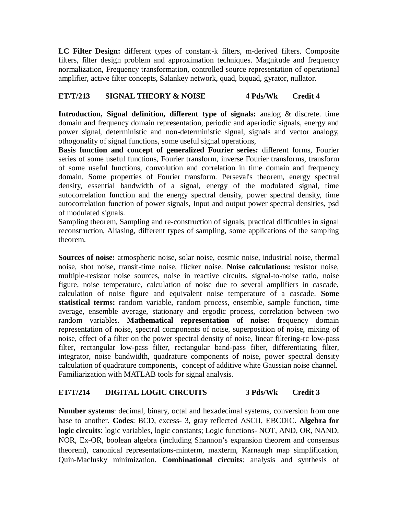**LC Filter Design:** different types of constant-k filters, m-derived filters. Composite filters, filter design problem and approximation techniques. Magnitude and frequency normalization, Frequency transformation, controlled source representation of operational amplifier, active filter concepts, Salankey network, quad, biquad, gyrator, nullator.

# **ET/T/213 SIGNAL THEORY & NOISE 4 Pds/Wk Credit 4**

**Introduction, Signal definition, different type of signals:** analog & discrete. time domain and frequency domain representation, periodic and aperiodic signals, energy and power signal, deterministic and non-deterministic signal, signals and vector analogy, othogonality of signal functions, some useful signal operations,

**Basis function and concept of generalized Fourier series:** different forms, Fourier series of some useful functions, Fourier transform, inverse Fourier transforms, transform of some useful functions, convolution and correlation in time domain and frequency domain. Some properties of Fourier transform. Perseval's theorem, energy spectral density, essential bandwidth of a signal, energy of the modulated signal, time autocorrelation function and the energy spectral density, power spectral density, time autocorrelation function of power signals, Input and output power spectral densities, psd of modulated signals.

Sampling theorem, Sampling and re-construction of signals, practical difficulties in signal reconstruction, Aliasing, different types of sampling, some applications of the sampling theorem.

**Sources of noise:** atmospheric noise, solar noise, cosmic noise, industrial noise, thermal noise, shot noise, transit-time noise, flicker noise. **Noise calculations:** resistor noise, multiple-resistor noise sources, noise in reactive circuits, signal-to-noise ratio, noise figure, noise temperature, calculation of noise due to several amplifiers in cascade, calculation of noise figure and equivalent noise temperature of a cascade. **Some statistical terms:** random variable, random process, ensemble, sample function, time average, ensemble average, stationary and ergodic process, correlation between two random variables. **Mathematical representation of noise:** frequency domain representation of noise, spectral components of noise, superposition of noise, mixing of noise, effect of a filter on the power spectral density of noise, linear filtering-rc low-pass filter, rectangular low-pass filter, rectangular band-pass filter, differentiating filter, integrator, noise bandwidth, quadrature components of noise, power spectral density calculation of quadrature components, concept of additive white Gaussian noise channel. Familiarization with MATLAB tools for signal analysis.

# **ET/T/214 DIGITAL LOGIC CIRCUITS 3 Pds/Wk Credit 3**

**Number systems**: decimal, binary, octal and hexadecimal systems, conversion from one base to another. **Codes**: BCD, excess- 3, gray reflected ASCII, EBCDIC. **Algebra for logic circuits**: logic variables, logic constants; Logic functions- NOT, AND, OR, NAND, NOR, Ex-OR, boolean algebra (including Shannon's expansion theorem and consensus theorem), canonical representations-minterm, maxterm, Karnaugh map simplification, Quin-Maclusky minimization. **Combinational circuits**: analysis and synthesis of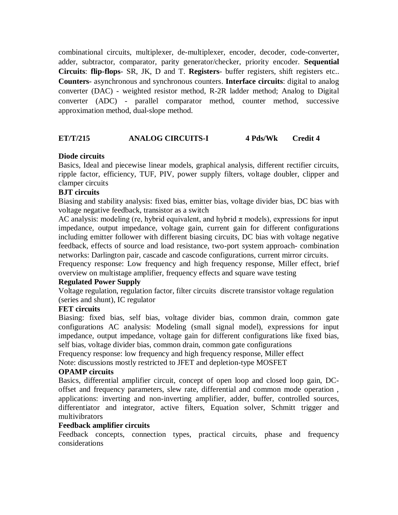combinational circuits, multiplexer, de-multiplexer, encoder, decoder, code-converter, adder, subtractor, comparator, parity generator/checker, priority encoder. **Sequential Circuits**: **flip-flops**- SR, JK, D and T. **Registers**- buffer registers, shift registers etc.. **Counters**- asynchronous and synchronous counters. **Interface circuits**: digital to analog converter (DAC) - weighted resistor method, R-2R ladder method; Analog to Digital converter (ADC) - parallel comparator method, counter method, successive approximation method, dual-slope method.

# **ET/T/215 ANALOG CIRCUITS-I 4 Pds/Wk Credit 4**

# **Diode circuits**

Basics, Ideal and piecewise linear models, graphical analysis, different rectifier circuits, ripple factor, efficiency, TUF, PIV, power supply filters, voltage doubler, clipper and clamper circuits

# **BJT circuits**

Biasing and stability analysis: fixed bias, emitter bias, voltage divider bias, DC bias with voltage negative feedback, transistor as a switch

AC analysis: modeling (re, hybrid equivalent, and hybrid  $\pi$  models), expressions for input impedance, output impedance, voltage gain, current gain for different configurations including emitter follower with different biasing circuits, DC bias with voltage negative feedback, effects of source and load resistance, two-port system approach- combination networks: Darlington pair, cascade and cascode configurations, current mirror circuits.

Frequency response: Low frequency and high frequency response, Miller effect, brief overview on multistage amplifier, frequency effects and square wave testing

# **Regulated Power Supply**

Voltage regulation, regulation factor, filter circuits discrete transistor voltage regulation (series and shunt), IC regulator

# **FET circuits**

Biasing: fixed bias, self bias, voltage divider bias, common drain, common gate configurations AC analysis: Modeling (small signal model), expressions for input impedance, output impedance, voltage gain for different configurations like fixed bias, self bias, voltage divider bias, common drain, common gate configurations

Frequency response: low frequency and high frequency response, Miller effect

Note: discussions mostly restricted to JFET and depletion-type MOSFET

# **OPAMP circuits**

Basics, differential amplifier circuit, concept of open loop and closed loop gain, DCoffset and frequency parameters, slew rate, differential and common mode operation , applications: inverting and non-inverting amplifier, adder, buffer, controlled sources, differentiator and integrator, active filters, Equation solver, Schmitt trigger and multivibrators

#### **Feedback amplifier circuits**

Feedback concepts, connection types, practical circuits, phase and frequency considerations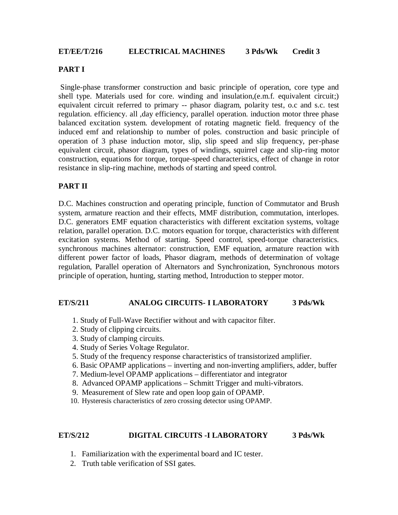# **PART I**

Single-phase transformer construction and basic principle of operation, core type and shell type. Materials used for core. winding and insulation,(e.m.f. equivalent circuit;) equivalent circuit referred to primary -- phasor diagram, polarity test, o.c and s.c. test regulation. efficiency. all ,day efficiency, parallel operation. induction motor three phase balanced excitation system. development of rotating magnetic field. frequency of the induced emf and relationship to number of poles. construction and basic principle of operation of 3 phase induction motor, slip, slip speed and slip frequency, per-phase equivalent circuit, phasor diagram, types of windings, squirrel cage and slip-ring motor construction, equations for torque, torque-speed characteristics, effect of change in rotor resistance in slip-ring machine, methods of starting and speed control.

# **PART II**

D.C. Machines construction and operating principle, function of Commutator and Brush system, armature reaction and their effects, MMF distribution, commutation, interlopes. D.C. generators EMF equation characteristics with different excitation systems, voltage relation, parallel operation. D.C. motors equation for torque, characteristics with different excitation systems. Method of starting. Speed control, speed-torque characteristics. synchronous machines alternator: construction, EMF equation, armature reaction with different power factor of loads, Phasor diagram, methods of determination of voltage regulation, Parallel operation of Alternators and Synchronization, Synchronous motors principle of operation, hunting, starting method, Introduction to stepper motor.

# **ET/S/211 ANALOG CIRCUITS- I LABORATORY 3 Pds/Wk**

- 1. Study of Full-Wave Rectifier without and with capacitor filter.
- 2. Study of clipping circuits.
- 3. Study of clamping circuits.
- 4. Study of Series Voltage Regulator.
- 5. Study of the frequency response characteristics of transistorized amplifier.
- 6. Basic OPAMP applications inverting and non-inverting amplifiers, adder, buffer
- 7. Medium-level OPAMP applications differentiator and integrator
- 8. Advanced OPAMP applications Schmitt Trigger and multi-vibrators.
- 9. Measurement of Slew rate and open loop gain of OPAMP.
- 10. Hysteresis characteristics of zero crossing detector using OPAMP.

# **ET/S/212 DIGITAL CIRCUITS -I LABORATORY 3 Pds/Wk**

- 1. Familiarization with the experimental board and IC tester.
- 2. Truth table verification of SSI gates.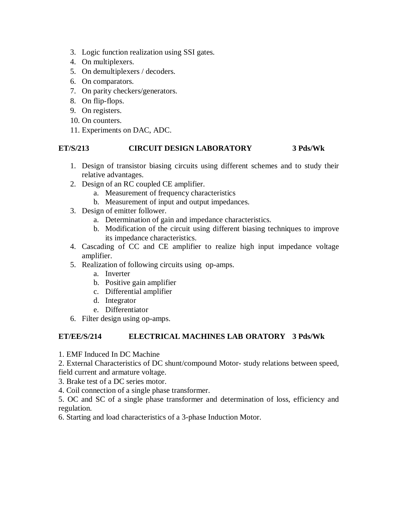- 3. Logic function realization using SSI gates.
- 4. On multiplexers.
- 5. On demultiplexers / decoders.
- 6. On comparators.
- 7. On parity checkers/generators.
- 8. On flip-flops.
- 9. On registers.
- 10. On counters.
- 11. Experiments on DAC, ADC.

# **ET/S/213 CIRCUIT DESIGN LABORATORY 3 Pds/Wk**

- 1. Design of transistor biasing circuits using different schemes and to study their relative advantages.
- 2. Design of an RC coupled CE amplifier.
	- a. Measurement of frequency characteristics
	- b. Measurement of input and output impedances.
- 3. Design of emitter follower.
	- a. Determination of gain and impedance characteristics.
	- b. Modification of the circuit using different biasing techniques to improve its impedance characteristics.
- 4. Cascading of CC and CE amplifier to realize high input impedance voltage amplifier.
- 5. Realization of following circuits using op-amps.
	- a. Inverter
	- b. Positive gain amplifier
	- c. Differential amplifier
	- d. Integrator
	- e. Differentiator
- 6. Filter design using op-amps.

# **ET/EE/S/214 ELECTRICAL MACHINES LAB ORATORY 3 Pds/Wk**

1. EMF Induced In DC Machine

2. External Characteristics of DC shunt/compound Motor- study relations between speed, field current and armature voltage.

- 3. Brake test of a DC series motor.
- 4. Coil connection of a single phase transformer.

5. OC and SC of a single phase transformer and determination of loss, efficiency and regulation.

6. Starting and load characteristics of a 3-phase Induction Motor.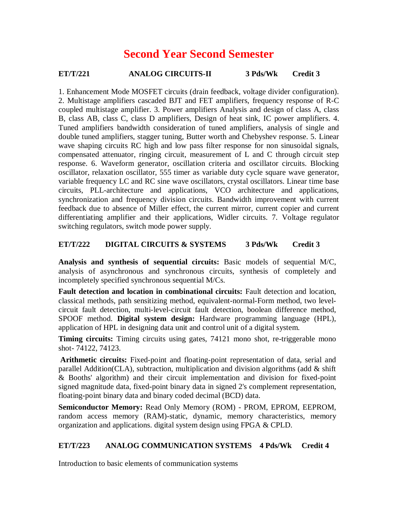# **Second Year Second Semester**

# **ET/T/221 ANALOG CIRCUITS-II 3 Pds/Wk Credit 3**

1. Enhancement Mode MOSFET circuits (drain feedback, voltage divider configuration). 2. Multistage amplifiers cascaded BJT and FET amplifiers, frequency response of R-C coupled multistage amplifier. 3. Power amplifiers Analysis and design of class A, class B, class AB, class C, class D amplifiers, Design of heat sink, IC power amplifiers. 4. Tuned amplifiers bandwidth consideration of tuned amplifiers, analysis of single and double tuned amplifiers, stagger tuning, Butter worth and Chebyshev response. 5. Linear wave shaping circuits RC high and low pass filter response for non sinusoidal signals, compensated attenuator, ringing circuit, measurement of L and C through circuit step response. 6. Waveform generator, oscillation criteria and oscillator circuits. Blocking oscillator, relaxation oscillator, 555 timer as variable duty cycle square wave generator, variable frequency LC and RC sine wave oscillators, crystal oscillators. Linear time base circuits, PLL-architecture and applications, VCO architecture and applications, synchronization and frequency division circuits. Bandwidth improvement with current feedback due to absence of Miller effect, the current mirror, current copier and current differentiating amplifier and their applications, Widler circuits. 7. Voltage regulator switching regulators, switch mode power supply.

# **ET/T/222 DIGITAL CIRCUITS & SYSTEMS 3 Pds/Wk Credit 3**

**Analysis and synthesis of sequential circuits:** Basic models of sequential M/C, analysis of asynchronous and synchronous circuits, synthesis of completely and incompletely specified synchronous sequential M/Cs.

**Fault detection and location in combinational circuits:** Fault detection and location, classical methods, path sensitizing method, equivalent-normal-Form method, two levelcircuit fault detection, multi-level-circuit fault detection, boolean difference method, SPOOF method. **Digital system design:** Hardware programming language (HPL), application of HPL in designing data unit and control unit of a digital system.

**Timing circuits:** Timing circuits using gates, 74121 mono shot, re-triggerable mono shot- 74122, 74123.

**Arithmetic circuits:** Fixed-point and floating-point representation of data, serial and parallel Addition(CLA), subtraction, multiplication and division algorithms (add  $\&$  shift & Booths' algorithm) and their circuit implementation and division for fixed-point signed magnitude data, fixed-point binary data in signed 2's complement representation, floating-point binary data and binary coded decimal (BCD) data.

**Semiconductor Memory:** Read Only Memory (ROM) - PROM, EPROM, EEPROM, random access memory (RAM)-static, dynamic, memory characteristics, memory organization and applications. digital system design using FPGA & CPLD.

# **ET/T/223 ANALOG COMMUNICATION SYSTEMS 4 Pds/Wk Credit 4**

Introduction to basic elements of communication systems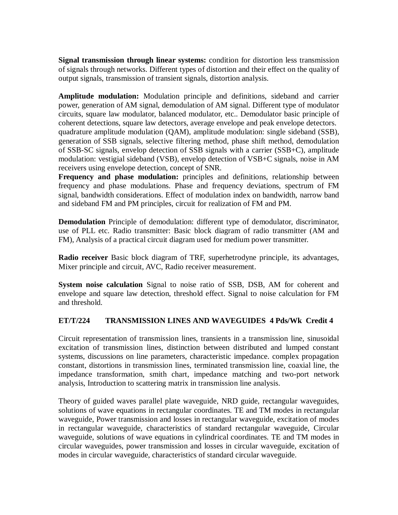**Signal transmission through linear systems:** condition for distortion less transmission of signals through networks. Different types of distortion and their effect on the quality of output signals, transmission of transient signals, distortion analysis.

**Amplitude modulation:** Modulation principle and definitions, sideband and carrier power, generation of AM signal, demodulation of AM signal. Different type of modulator circuits, square law modulator, balanced modulator, etc.. Demodulator basic principle of coherent detections, square law detectors, average envelope and peak envelope detectors. quadrature amplitude modulation (QAM), amplitude modulation: single sideband (SSB), generation of SSB signals, selective filtering method, phase shift method, demodulation of SSB-SC signals, envelop detection of SSB signals with a carrier (SSB+C), amplitude modulation: vestigial sideband (VSB), envelop detection of VSB+C signals, noise in AM receivers using envelope detection, concept of SNR.

**Frequency and phase modulation:** principles and definitions, relationship between frequency and phase modulations. Phase and frequency deviations, spectrum of FM signal, bandwidth considerations. Effect of modulation index on bandwidth, narrow band and sideband FM and PM principles, circuit for realization of FM and PM.

**Demodulation** Principle of demodulation: different type of demodulator, discriminator, use of PLL etc. Radio transmitter: Basic block diagram of radio transmitter (AM and FM), Analysis of a practical circuit diagram used for medium power transmitter.

**Radio receiver** Basic block diagram of TRF, superhetrodyne principle, its advantages, Mixer principle and circuit, AVC, Radio receiver measurement.

**System noise calculation** Signal to noise ratio of SSB, DSB, AM for coherent and envelope and square law detection, threshold effect. Signal to noise calculation for FM and threshold.

# **ET/T/224 TRANSMISSION LINES AND WAVEGUIDES 4 Pds/Wk Credit 4**

Circuit representation of transmission lines, transients in a transmission line, sinusoidal excitation of transmission lines, distinction between distributed and lumped constant systems, discussions on line parameters, characteristic impedance. complex propagation constant, distortions in transmission lines, terminated transmission line, coaxial line, the impedance transformation, smith chart, impedance matching and two-port network analysis, Introduction to scattering matrix in transmission line analysis.

Theory of guided waves parallel plate waveguide, NRD guide, rectangular waveguides, solutions of wave equations in rectangular coordinates. TE and TM modes in rectangular waveguide, Power transmission and losses in rectangular waveguide, excitation of modes in rectangular waveguide, characteristics of standard rectangular waveguide, Circular waveguide, solutions of wave equations in cylindrical coordinates. TE and TM modes in circular waveguides, power transmission and losses in circular waveguide, excitation of modes in circular waveguide, characteristics of standard circular waveguide.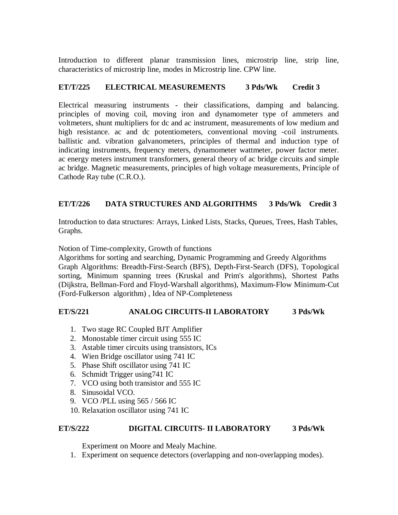Introduction to different planar transmission lines, microstrip line, strip line, characteristics of microstrip line, modes in Microstrip line. CPW line.

# **ET/T/225 ELECTRICAL MEASUREMENTS 3 Pds/Wk Credit 3**

Electrical measuring instruments - their classifications, damping and balancing. principles of moving coil, moving iron and dynamometer type of ammeters and voltmeters, shunt multipliers for dc and ac instrument, measurements of low medium and high resistance, ac and dc potentiometers, conventional moving -coil instruments. ballistic and. vibration galvanometers, principles of thermal and induction type of indicating instruments, frequency meters, dynamometer wattmeter, power factor meter. ac energy meters instrument transformers, general theory of ac bridge circuits and simple ac bridge. Magnetic measurements, principles of high voltage measurements, Principle of Cathode Ray tube (C.R.O.).

# **ET/T/226 DATA STRUCTURES AND ALGORITHMS 3 Pds/Wk Credit 3**

Introduction to data structures: Arrays, Linked Lists, Stacks, Queues, Trees, Hash Tables, Graphs.

Notion of Time-complexity, Growth of functions

Algorithms for sorting and searching, Dynamic Programming and Greedy Algorithms Graph Algorithms: Breadth-First-Search (BFS), Depth-First-Search (DFS), Topological sorting, Minimum spanning trees (Kruskal and Prim's algorithms), Shortest Paths (Dijkstra, Bellman-Ford and Floyd-Warshall algorithms), Maximum-Flow Minimum-Cut (Ford-Fulkerson algorithm) , Idea of NP-Completeness

# **ET/S/221 ANALOG CIRCUITS-II LABORATORY 3 Pds/Wk**

- 1. Two stage RC Coupled BJT Amplifier
- 2. Monostable timer circuit using 555 IC
- 3. Astable timer circuits using transistors, ICs
- 4. Wien Bridge oscillator using 741 IC
- 5. Phase Shift oscillator using 741 IC
- 6. Schmidt Trigger using741 IC
- 7. VCO using both transistor and 555 IC
- 8. Sinusoidal VCO.
- 9. VCO /PLL using 565 / 566 IC
- 10. Relaxation oscillator using 741 IC

# **ET/S/222 DIGITAL CIRCUITS- II LABORATORY 3 Pds/Wk**

Experiment on Moore and Mealy Machine.

1. Experiment on sequence detectors (overlapping and non-overlapping modes).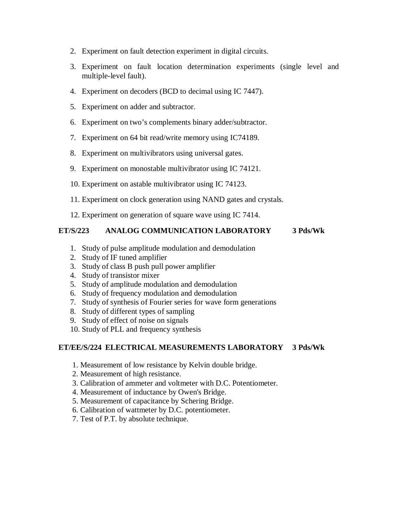- 2. Experiment on fault detection experiment in digital circuits.
- 3. Experiment on fault location determination experiments (single level and multiple-level fault).
- 4. Experiment on decoders (BCD to decimal using IC 7447).
- 5. Experiment on adder and subtractor.
- 6. Experiment on two's complements binary adder/subtractor.
- 7. Experiment on 64 bit read/write memory using IC74189.
- 8. Experiment on multivibrators using universal gates.
- 9. Experiment on monostable multivibrator using IC 74121.
- 10. Experiment on astable multivibrator using IC 74123.
- 11. Experiment on clock generation using NAND gates and crystals.
- 12. Experiment on generation of square wave using IC 7414.

# **ET/S/223 ANALOG COMMUNICATION LABORATORY 3 Pds/Wk**

- 1. Study of pulse amplitude modulation and demodulation
- 2. Study of IF tuned amplifier
- 3. Study of class B push pull power amplifier
- 4. Study of transistor mixer
- 5. Study of amplitude modulation and demodulation
- 6. Study of frequency modulation and demodulation
- 7. Study of synthesis of Fourier series for wave form generations
- 8. Study of different types of sampling
- 9. Study of effect of noise on signals
- 10. Study of PLL and frequency synthesis

# **ET/EE/S/224 ELECTRICAL MEASUREMENTS LABORATORY 3 Pds/Wk**

- 1. Measurement of low resistance by Kelvin double bridge.
- 2. Measurement of high resistance.
- 3. Calibration of ammeter and voltmeter with D.C. Potentiometer.
- 4. Measurement of inductance by Owen's Bridge.
- 5. Measurement of capacitance by Schering Bridge.
- 6. Calibration of wattmeter by D.C. potentiometer.
- 7. Test of P.T. by absolute technique.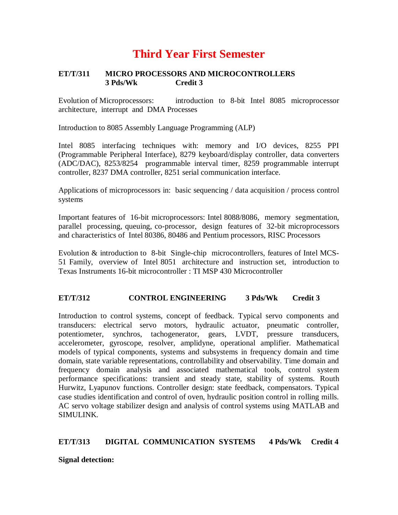# **Third Year First Semester**

# **ET/T/311 MICRO PROCESSORS AND MICROCONTROLLERS 3 Pds/Wk Credit 3**

Evolution of Microprocessors: introduction to 8-bit Intel 8085 microprocessor architecture, interrupt and DMA Processes

Introduction to 8085 Assembly Language Programming (ALP)

Intel 8085 interfacing techniques with: memory and I/O devices, 8255 PPI (Programmable Peripheral Interface), 8279 keyboard/display controller, data converters (ADC/DAC), 8253/8254 programmable interval timer, 8259 programmable interrupt controller, 8237 DMA controller, 8251 serial communication interface.

Applications of microprocessors in: basic sequencing / data acquisition / process control systems

Important features of 16-bit microprocessors: Intel 8088/8086, memory segmentation, parallel processing, queuing, co-processor, design features of 32-bit microprocessors and characteristics of Intel 80386, 80486 and Pentium processors, RISC Processors

Evolution & introduction to 8-bit Single-chip microcontrollers, features of Intel MCS-51 Family, overview of Intel 8051 architecture and instruction set, introduction to Texas Instruments 16-bit microcontroller : TI MSP 430 Microcontroller

# **ET/T/312 CONTROL ENGINEERING 3 Pds/Wk Credit 3**

Introduction to control systems, concept of feedback. Typical servo components and transducers: electrical servo motors, hydraulic actuator, pneumatic controller, potentiometer, synchros, tachogenerator, gears, LVDT, pressure transducers, accelerometer, gyroscope, resolver, amplidyne, operational amplifier. Mathematical models of typical components, systems and subsystems in frequency domain and time domain, state variable representations, controllability and observability. Time domain and frequency domain analysis and associated mathematical tools, control system performance specifications: transient and steady state, stability of systems. Routh Hurwitz, Lyapunov functions. Controller design: state feedback, compensators. Typical case studies identification and control of oven, hydraulic position control in rolling mills. AC servo voltage stabilizer design and analysis of control systems using MATLAB and SIMULINK.

# **ET/T/313 DIGITAL COMMUNICATION SYSTEMS 4 Pds/Wk Credit 4**

# **Signal detection:**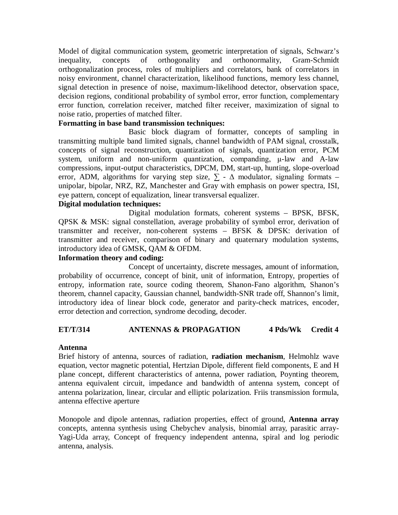Model of digital communication system, geometric interpretation of signals, Schwarz's inequality, concepts of orthogonality and orthonormality, Gram-Schmidt orthogonalization process, roles of multipliers and correlators, bank of correlators in noisy environment, channel characterization, likelihood functions, memory less channel, signal detection in presence of noise, maximum-likelihood detector, observation space, decision regions, conditional probability of symbol error, error function, complementary error function, correlation receiver, matched filter receiver, maximization of signal to noise ratio, properties of matched filter.

# **Formatting in base band transmission techniques:**

Basic block diagram of formatter, concepts of sampling in transmitting multiple band limited signals, channel bandwidth of PAM signal, crosstalk, concepts of signal reconstruction, quantization of signals, quantization error, PCM system, uniform and non-uniform quantization, companding, μ-law and A-law compressions, input-output characteristics, DPCM, DM, start-up, hunting, slope-overload error, ADM, algorithms for varying step size,  $\sum$  -  $\Delta$  modulator, signaling formats – unipolar, bipolar, NRZ, RZ, Manchester and Gray with emphasis on power spectra, ISI, eye pattern, concept of equalization, linear transversal equalizer.

# **Digital modulation techniques:**

Digital modulation formats, coherent systems – BPSK, BFSK, QPSK & MSK: signal constellation, average probability of symbol error, derivation of transmitter and receiver, non-coherent systems – BFSK & DPSK: derivation of transmitter and receiver, comparison of binary and quaternary modulation systems, introductory idea of GMSK, QAM & OFDM.

### **Information theory and coding:**

Concept of uncertainty, discrete messages, amount of information, probability of occurrence, concept of binit, unit of information, Entropy, properties of entropy, information rate, source coding theorem, Shanon-Fano algorithm, Shanon's theorem, channel capacity, Gaussian channel, bandwidth-SNR trade off, Shannon's limit, introductory idea of linear block code, generator and parity-check matrices, encoder, error detection and correction, syndrome decoding, decoder.

# **ET/T/314 ANTENNAS & PROPAGATION 4 Pds/Wk Credit 4**

#### **Antenna**

Brief history of antenna, sources of radiation, **radiation mechanism**, Helmohlz wave equation, vector magnetic potential, Hertzian Dipole, different field components, E and H plane concept, different characteristics of antenna, power radiation, Poynting theorem, antenna equivalent circuit, impedance and bandwidth of antenna system, concept of antenna polarization, linear, circular and elliptic polarization. Friis transmission formula, antenna effective aperture

Monopole and dipole antennas, radiation properties, effect of ground, **Antenna array** concepts, antenna synthesis using Chebychev analysis, binomial array, parasitic array-Yagi-Uda array, Concept of frequency independent antenna, spiral and log periodic antenna, analysis.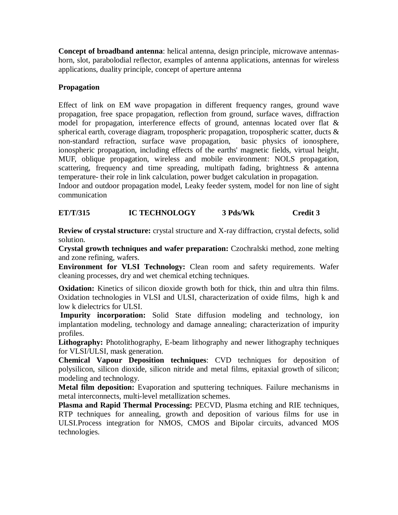**Concept of broadband antenna**: helical antenna, design principle, microwave antennashorn, slot, parabolodial reflector, examples of antenna applications, antennas for wireless applications, duality principle, concept of aperture antenna

# **Propagation**

Effect of link on EM wave propagation in different frequency ranges, ground wave propagation, free space propagation, reflection from ground, surface waves, diffraction model for propagation, interference effects of ground, antennas located over flat & spherical earth, coverage diagram, tropospheric propagation, tropospheric scatter, ducts & non-standard refraction, surface wave propagation, basic physics of ionosphere, ionospheric propagation, including effects of the earths' magnetic fields, virtual height, MUF, oblique propagation, wireless and mobile environment: NOLS propagation, scattering, frequency and time spreading, multipath fading, brightness & antenna temperature- their role in link calculation, power budget calculation in propagation.

Indoor and outdoor propagation model, Leaky feeder system, model for non line of sight communication

# **ET/T/315 IC TECHNOLOGY 3 Pds/Wk Credit 3**

**Review of crystal structure:** crystal structure and X-ray diffraction, crystal defects, solid solution.

**Crystal growth techniques and wafer preparation:** Czochralski method, zone melting and zone refining, wafers.

**Environment for VLSI Technology:** Clean room and safety requirements. Wafer cleaning processes, dry and wet chemical etching techniques.

**Oxidation:** Kinetics of silicon dioxide growth both for thick, thin and ultra thin films. Oxidation technologies in VLSI and ULSI, characterization of oxide films, high k and low k dielectrics for ULSI.

**Impurity incorporation:** Solid State diffusion modeling and technology, ion implantation modeling, technology and damage annealing; characterization of impurity profiles.

**Lithography:** Photolithography, E-beam lithography and newer lithography techniques for VLSI/ULSI, mask generation.

**Chemical Vapour Deposition techniques**: CVD techniques for deposition of polysilicon, silicon dioxide, silicon nitride and metal films, epitaxial growth of silicon; modeling and technology.

**Metal film deposition:** Evaporation and sputtering techniques. Failure mechanisms in metal interconnects, multi-level metallization schemes.

**Plasma and Rapid Thermal Processing:** PECVD, Plasma etching and RIE techniques, RTP techniques for annealing, growth and deposition of various films for use in ULSI.Process integration for NMOS, CMOS and Bipolar circuits, advanced MOS technologies.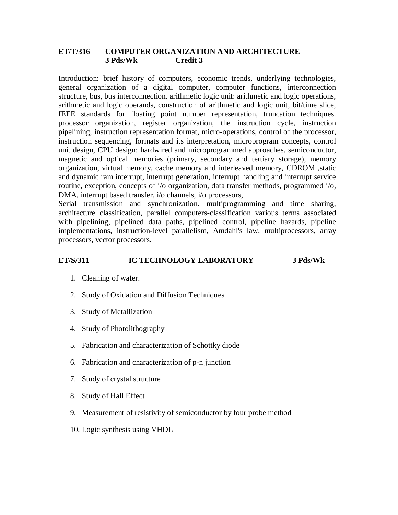# **ET/T/316 COMPUTER ORGANIZATION AND ARCHITECTURE 3 Pds/Wk Credit 3**

Introduction: brief history of computers, economic trends, underlying technologies, general organization of a digital computer, computer functions, interconnection structure, bus, bus interconnection. arithmetic logic unit: arithmetic and logic operations, arithmetic and logic operands, construction of arithmetic and logic unit, bit/time slice, IEEE standards for floating point number representation, truncation techniques. processor organization, register organization, the instruction cycle, instruction pipelining, instruction representation format, micro-operations, control of the processor, instruction sequencing, formats and its interpretation, microprogram concepts, control unit design, CPU design: hardwired and microprogrammed approaches. semiconductor, magnetic and optical memories (primary, secondary and tertiary storage), memory organization, virtual memory, cache memory and interleaved memory, CDROM ,static and dynamic ram interrupt, interrupt generation, interrupt handling and interrupt service routine, exception, concepts of i/o organization, data transfer methods, programmed i/o, DMA, interrupt based transfer, i/o channels, i/o processors,

Serial transmission and synchronization. multiprogramming and time sharing, architecture classification, parallel computers-classification various terms associated with pipelining, pipelined data paths, pipelined control, pipeline hazards, pipeline implementations, instruction-level parallelism, Amdahl's law, multiprocessors, array processors, vector processors.

# **ET/S/311 IC TECHNOLOGY LABORATORY 3 Pds/Wk**

- 1. Cleaning of wafer.
- 2. Study of Oxidation and Diffusion Techniques
- 3. Study of Metallization
- 4. Study of Photolithography
- 5. Fabrication and characterization of Schottky diode
- 6. Fabrication and characterization of p-n junction
- 7. Study of crystal structure
- 8. Study of Hall Effect
- 9. Measurement of resistivity of semiconductor by four probe method
- 10. Logic synthesis using VHDL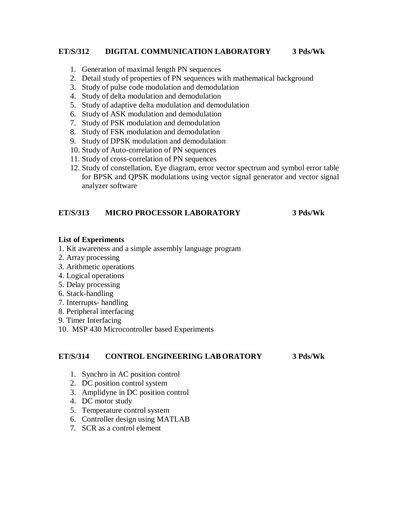# **ET/S/312 DIGITAL COMMUNICATION LABORATORY 3 Pds/Wk**

- 1. Generation of maximal length PN sequences
- 2. Detail study of properties of PN sequences with mathematical background
- 3. Study of pulse code modulation and demodulation
- 4. Study of delta modulation and demodulation
- 5. Study of adaptive delta modulation and demodulation
- 6. Study of ASK modulation and demodulation
- 7. Study of PSK modulation and demodulation
- 8. Study of FSK modulation and demodulation
- 9. Study of DPSK modulation and demodulation
- 10. Study of Auto-correlation of PN sequences
- 11. Study of cross-correlation of PN sequences
- 12. Study of constellation, Eye diagram, error vector spectrum and symbol error table for BPSK and QPSK modulations using vector signal generator and vector signal analyzer software

# **ET/S/313 MICRO PROCESSOR LABORATORY 3 Pds/Wk**

#### **List of Experiments**

- 1. Kit awareness and a simple assembly language program
- 2. Array processing
- 3. Arithmetic operations
- 4. Logical operations
- 5. Delay processing
- 6. Stack-handling
- 7. Interrupts- handling
- 8. Peripheral interfacing
- 9. Timer Interfacing
- 10. MSP 430 Microcontroller based Experiments

#### **ET/S/314 CONTROL ENGINEERING LAB ORATORY 3 Pds/Wk**

- 1. Synchro in AC position control
- 2. DC position control system
- 3. Amplidyne in DC position control
- 4. DC motor study
- 5. Temperature control system
- 6. Controller design using MATLAB
- 7. SCR as a control element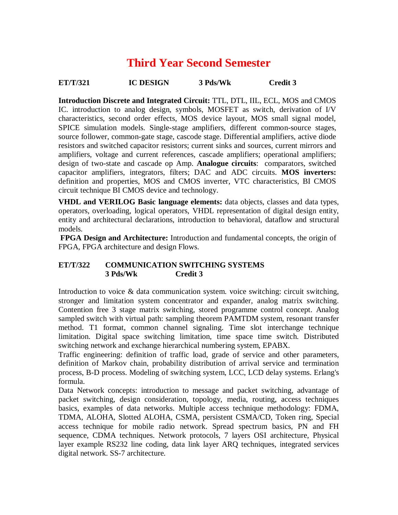# **Third Year Second Semester**

**ET/T/321 IC DESIGN 3 Pds/Wk Credit 3**

**Introduction Discrete and Integrated Circuit:** TTL, DTL, IIL, ECL, MOS and CMOS IC. introduction to analog design, symbols, MOSFET as switch, derivation of I/V characteristics, second order effects, MOS device layout, MOS small signal model, SPICE simulation models. Single-stage amplifiers, different common-source stages, source follower, common-gate stage, cascode stage. Differential amplifiers, active diode resistors and switched capacitor resistors; current sinks and sources, current mirrors and amplifiers, voltage and current references, cascade amplifiers; operational amplifiers; design of two-state and cascade op Amp. **Analogue circuits**: comparators, switched capacitor amplifiers, integrators, filters; DAC and ADC circuits. **MOS inverters:** definition and properties, MOS and CMOS inverter, VTC characteristics, BI CMOS circuit technique BI CMOS device and technology.

**VHDL and VERILOG Basic language elements:** data objects, classes and data types, operators, overloading, logical operators, VHDL representation of digital design entity, entity and architectural declarations, introduction to behavioral, dataflow and structural models.

**FPGA Design and Architecture:** Introduction and fundamental concepts, the origin of FPGA, FPGA architecture and design Flows.

# **ET/T/322 COMMUNICATION SWITCHING SYSTEMS 3 Pds/Wk Credit 3**

Introduction to voice & data communication system. voice switching: circuit switching, stronger and limitation system concentrator and expander, analog matrix switching. Contention free 3 stage matrix switching, stored programme control concept. Analog sampled switch with virtual path: sampling theorem PAMTDM system, resonant transfer method. T1 format, common channel signaling. Time slot interchange technique limitation. Digital space switching limitation, time space time switch. Distributed switching network and exchange hierarchical numbering system, EPABX.

Traffic engineering: definition of traffic load, grade of service and other parameters, definition of Markov chain, probability distribution of arrival service and termination process, B-D process. Modeling of switching system, LCC, LCD delay systems. Erlang's formula.

Data Network concepts: introduction to message and packet switching, advantage of packet switching, design consideration, topology, media, routing, access techniques basics, examples of data networks. Multiple access technique methodology: FDMA, TDMA, ALOHA, Slotted ALOHA, CSMA, persistent CSMA/CD, Token ring, Special access technique for mobile radio network. Spread spectrum basics, PN and FH sequence, CDMA techniques. Network protocols, 7 layers OSI architecture, Physical layer example RS232 line coding, data link layer ARQ techniques, integrated services digital network. SS-7 architecture.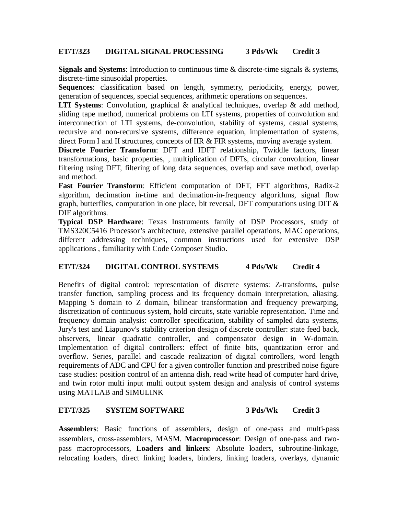# **ET/T/323 DIGITAL SIGNAL PROCESSING 3 Pds/Wk Credit 3**

**Signals and Systems**: Introduction to continuous time & discrete-time signals & systems, discrete-time sinusoidal properties.

**Sequences**: classification based on length, symmetry, periodicity, energy, power, generation of sequences, special sequences, arithmetic operations on sequences.

**LTI Systems**: Convolution, graphical & analytical techniques, overlap & add method, sliding tape method, numerical problems on LTI systems, properties of convolution and interconnection of LTI systems, de-convolution, stability of systems, casual systems, recursive and non-recursive systems, difference equation, implementation of systems, direct Form I and II structures, concepts of IIR & FIR systems, moving average system.

**Discrete Fourier Transform**: DFT and IDFT relationship, Twiddle factors, linear transformations, basic properties, , multiplication of DFTs, circular convolution, linear filtering using DFT, filtering of long data sequences, overlap and save method, overlap and method.

Fast Fourier Transform: Efficient computation of DFT, FFT algorithms, Radix-2 algorithm, decimation in-time and decimation-in-frequency algorithms, signal flow graph, butterflies, computation in one place, bit reversal, DFT computations using DIT  $\&$ DIF algorithms.

**Typical DSP Hardware**: Texas Instruments family of DSP Processors, study of TMS320C5416 Processor's architecture, extensive parallel operations, MAC operations, different addressing techniques, common instructions used for extensive DSP applications , familiarity with Code Composer Studio.

# **ET/T/324 DIGITAL CONTROL SYSTEMS 4 Pds/Wk Credit 4**

Benefits of digital control: representation of discrete systems: Z-transforms, pulse transfer function, sampling process and its frequency domain interpretation, aliasing. Mapping S domain to Z domain, bilinear transformation and frequency prewarping, discretization of continuous system, hold circuits, state variable representation. Time and frequency domain analysis: controller specification, stability of sampled data systems, Jury's test and Liapunov's stability criterion design of discrete controller: state feed back, observers, linear quadratic controller, and compensator design in W-domain. Implementation of digital controllers: effect of finite bits, quantization error and overflow. Series, parallel and cascade realization of digital controllers, word length requirements of ADC and CPU for a given controller function and prescribed noise figure case studies: position control of an antenna dish, read write head of computer hard drive, and twin rotor multi input multi output system design and analysis of control systems using MATLAB and SIMULINK

# **ET/T/325 SYSTEM SOFTWARE 3 Pds/Wk Credit 3**

**Assemblers**: Basic functions of assemblers, design of one-pass and multi-pass assemblers, cross-assemblers, MASM. **Macroprocessor**: Design of one-pass and twopass macroprocessors, **Loaders and linkers**: Absolute loaders, subroutine-linkage, relocating loaders, direct linking loaders, binders, linking loaders, overlays, dynamic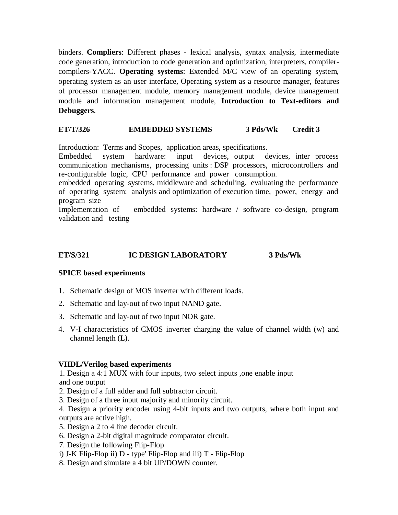binders. **Compliers**: Different phases - lexical analysis, syntax analysis, intermediate code generation, introduction to code generation and optimization, interpreters, compilercompilers-YACC. **Operating systems**: Extended M/C view of an operating system, operating system as an user interface, Operating system as a resource manager, features of processor management module, memory management module, device management module and information management module, **Introduction to Text-editors and Debuggers**.

#### **ET/T/326 EMBEDDED SYSTEMS 3 Pds/Wk Credit 3**

Introduction: Terms and Scopes, application areas, specifications.

Embedded system hardware: input devices, output devices, inter process communication mechanisms, processing units : DSP processors, microcontrollers and re-configurable logic, CPU performance and power consumption.

embedded operating systems, middleware and scheduling, evaluating the performance of operating system: analysis and optimization of execution time, power, energy and program size

Implementation of embedded systems: hardware / software co-design, program validation and testing

# **ET/S/321 IC DESIGN LABORATORY 3 Pds/Wk**

# **SPICE based experiments**

- 1. Schematic design of MOS inverter with different loads.
- 2. Schematic and lay-out of two input NAND gate.
- 3. Schematic and lay-out of two input NOR gate.
- 4. V-I characteristics of CMOS inverter charging the value of channel width (w) and channel length (L).

# **VHDL/Verilog based experiments**

1. Design a 4:1 MUX with four inputs, two select inputs ,one enable input and one output

- 2. Design of a full adder and full subtractor circuit.
- 3. Design of a three input majority and minority circuit.

4. Design a priority encoder using 4-bit inputs and two outputs, where both input and outputs are active high.

- 5. Design a 2 to 4 line decoder circuit.
- 6. Design a 2-bit digital magnitude comparator circuit.
- 7. Design the following Flip-Flop
- i) J-K Flip-Flop ii) D type' Flip-Flop and iii) T Flip-Flop
- 8. Design and simulate a 4 bit UP/DOWN counter.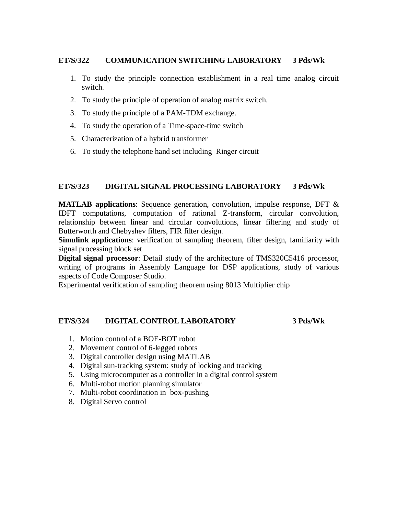### **ET/S/322 COMMUNICATION SWITCHING LABORATORY 3 Pds/Wk**

- 1. To study the principle connection establishment in a real time analog circuit switch.
- 2. To study the principle of operation of analog matrix switch.
- 3. To study the principle of a PAM-TDM exchange.
- 4. To study the operation of a Time-space-time switch
- 5. Characterization of a hybrid transformer
- 6. To study the telephone hand set including Ringer circuit

#### **ET/S/323 DIGITAL SIGNAL PROCESSING LABORATORY 3 Pds/Wk**

**MATLAB applications**: Sequence generation, convolution, impulse response, DFT & IDFT computations, computation of rational Z-transform, circular convolution, relationship between linear and circular convolutions, linear filtering and study of Butterworth and Chebyshev filters, FIR filter design.

**Simulink applications**: verification of sampling theorem, filter design, familiarity with signal processing block set

**Digital signal processor**: Detail study of the architecture of TMS320C5416 processor, writing of programs in Assembly Language for DSP applications, study of various aspects of Code Composer Studio.

Experimental verification of sampling theorem using 8013 Multiplier chip

#### **ET/S/324 DIGITAL CONTROL LABORATORY 3 Pds/Wk**

- 1. Motion control of a BOE-BOT robot
- 2. Movement control of 6-legged robots
- 3. Digital controller design using MATLAB
- 4. Digital sun-tracking system: study of locking and tracking
- 5. Using microcomputer as a controller in a digital control system
- 6. Multi-robot motion planning simulator
- 7. Multi-robot coordination in box-pushing
- 8. Digital Servo control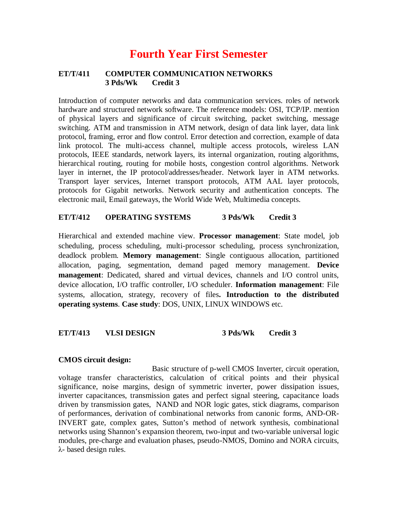# **Fourth Year First Semester**

### **ET/T/411 COMPUTER COMMUNICATION NETWORKS 3 Pds/Wk Credit 3**

Introduction of computer networks and data communication services. roles of network hardware and structured network software. The reference models: OSI, TCP/IP. mention of physical layers and significance of circuit switching, packet switching, message switching. ATM and transmission in ATM network, design of data link layer, data link protocol, framing, error and flow control. Error detection and correction, example of data link protocol. The multi-access channel, multiple access protocols, wireless LAN protocols, IEEE standards, network layers, its internal organization, routing algorithms, hierarchical routing, routing for mobile hosts, congestion control algorithms. Network layer in internet, the IP protocol/addresses/header. Network layer in ATM networks. Transport layer services, Internet transport protocols, ATM AAL layer protocols, protocols for Gigabit networks. Network security and authentication concepts. The electronic mail, Email gateways, the World Wide Web, Multimedia concepts.

# **ET/T/412 OPERATING SYSTEMS 3 Pds/Wk Credit 3**

Hierarchical and extended machine view. **Processor management**: State model, job scheduling, process scheduling, multi-processor scheduling, process synchronization, deadlock problem. **Memory management**: Single contiguous allocation, partitioned allocation, paging, segmentation, demand paged memory management. **Device management**: Dedicated, shared and virtual devices, channels and I/O control units, device allocation, I/O traffic controller, I/O scheduler. **Information management**: File systems, allocation, strategy, recovery of files**. Introduction to the distributed operating systems**. **Case study**: DOS, UNIX, LINUX WINDOWS etc.

# **ET/T/413 VLSI DESIGN 3 Pds/Wk Credit 3**

#### **CMOS circuit design:**

Basic structure of p-well CMOS Inverter, circuit operation, voltage transfer characteristics, calculation of critical points and their physical significance, noise margins, design of symmetric inverter, power dissipation issues, inverter capacitances, transmission gates and perfect signal steering, capacitance loads driven by transmission gates, NAND and NOR logic gates, stick diagrams, comparison of performances, derivation of combinational networks from canonic forms, AND-OR-INVERT gate, complex gates, Sutton's method of network synthesis, combinational networks using Shannon's expansion theorem, two-input and two-variable universal logic modules, pre-charge and evaluation phases, pseudo-NMOS, Domino and NORA circuits, λ- based design rules.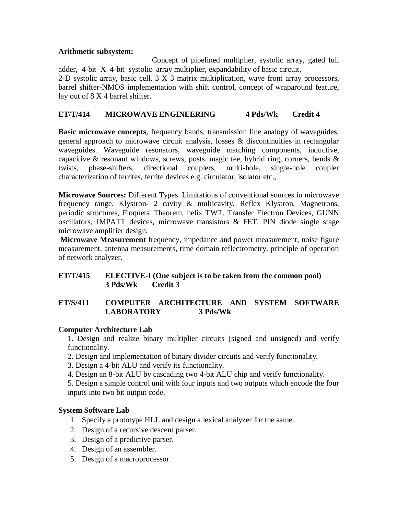# **Arithmetic subsystem:**

Concept of pipelined multiplier, systolic array, gated full adder, 4-bit X 4-bit systolic array multiplier, expandability of basic circuit, 2-D systolic array, basic cell, 3 X 3 matrix multiplication, wave front array processors, barrel shifter-NMOS implementation with shift control, concept of wraparound feature, lay out of 8 X 4 barrel shifter.

# **ET/T/414 MICROWAVE ENGINEERING 4 Pds/Wk Credit 4**

**Basic microwave concepts**, frequency bands, transmission line analogy of waveguides, general approach to microwave circuit analysis, losses & discontinuities in rectangular waveguides. Waveguide resonators, waveguide matching components, inductive, capacitive & resonant windows, screws, posts. magic tee, hybrid ring, corners, bends & twists, phase-shifters, directional couplers, multi-hole, single-hole coupler characterization of ferrites, ferrite devices e.g. circulator, isolator etc.,

**Microwave Sources:** Different Types. Limitations of conventional sources in microwave frequency range. Klystron- 2 cavity & multicavity, Reflex Klystron, Magnetrons, periodic structures, Floquets' Theorem, helix TWT. Transfer Electron Devices, GUNN oscillators, IMPATT devices, microwave transistors & FET, PIN diode single stage microwave amplifier design.

**Microwave Measurement** frequency, impedance and power measurement, noise figure measurement, antenna measurements, time domain reflectrometry, principle of operation of network analyzer.

# **ET/T/415 ELECTIVE-I (One subject is to be taken from the common pool) 3 Pds/Wk Credit 3**

# **ET/S/411 COMPUTER ARCHITECTURE AND SYSTEM SOFTWARE LABORATORY 3 Pds/Wk**

# **Computer Architecture Lab**

1. Design and realize binary multiplier circuits (signed and unsigned) and verify functionality.

- 2. Design and implementation of binary divider circuits and verify functionality.
- 3. Design a 4-bit ALU and verify its functionality.
- 4. Design an 8-bit ALU by cascading two 4-bit ALU chip and verify functionality.

5. Design a simple control unit with four inputs and two outputs which encode the four inputs into two bit output code.

# **System Software Lab**

- 1. Specify a prototype HLL and design a lexical analyzer for the same.
- 2. Design of a recursive descent parser.
- 3. Design of a predictive parser.
- 4. Design of an assembler.
- 5. Design of a macroprocessor.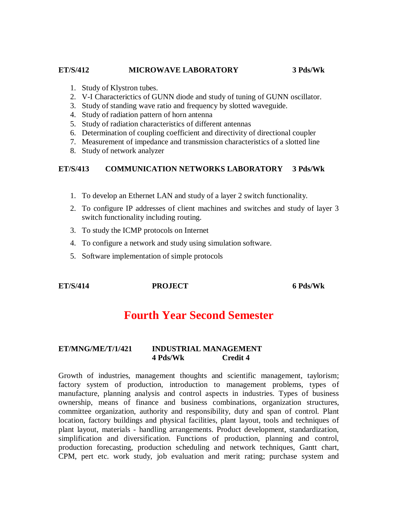#### **ET/S/412 MICROWAVE LABORATORY 3 Pds/Wk**

- 1. Study of Klystron tubes.
- 2. V-I Characterictics of GUNN diode and study of tuning of GUNN oscillator.
- 3. Study of standing wave ratio and frequency by slotted waveguide.
- 4. Study of radiation pattern of horn antenna
- 5. Study of radiation characteristics of different antennas
- 6. Determination of coupling coefficient and directivity of directional coupler
- 7. Measurement of impedance and transmission characteristics of a slotted line
- 8. Study of network analyzer

# **ET/S/413 COMMUNICATION NETWORKS LABORATORY 3 Pds/Wk**

- 1. To develop an Ethernet LAN and study of a layer 2 switch functionality.
- 2. To configure IP addresses of client machines and switches and study of layer 3 switch functionality including routing.
- 3. To study the ICMP protocols on Internet
- 4. To configure a network and study using simulation software.
- 5. Software implementation of simple protocols

# **ET/S/414 PROJECT 6 Pds/Wk**

# **Fourth Year Second Semester**

# **ET/MNG/ME/T/1/421 INDUSTRIAL MANAGEMENT 4 Pds/Wk Credit 4**

Growth of industries, management thoughts and scientific management, taylorism; factory system of production, introduction to management problems, types of manufacture, planning analysis and control aspects in industries. Types of business ownership, means of finance and business combinations, organization structures, committee organization, authority and responsibility, duty and span of control. Plant location, factory buildings and physical facilities, plant layout, tools and techniques of plant layout, materials - handling arrangements. Product development, standardization, simplification and diversification. Functions of production, planning and control, production forecasting, production scheduling and network techniques, Gantt chart, CPM, pert etc. work study, job evaluation and merit rating; purchase system and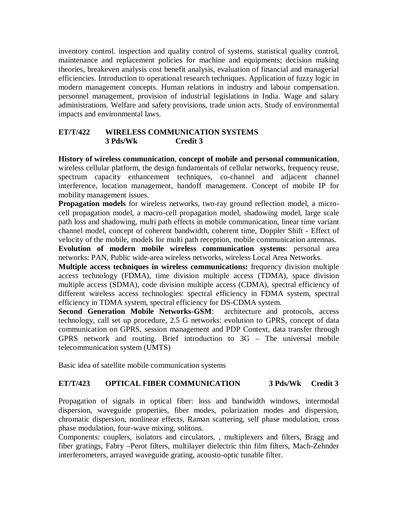inventory control. inspection and quality control of systems, statistical quality control, maintenance and replacement policies for machine and equipments; decision making theories, breakeven analysis cost benefit analysis, evaluation of financial and managerial efficiencies. Introduction to operational research techniques. Application of fuzzy logic in modern management concepts. Human relations in industry and labour compensation. personnel management, provision of industrial legislations in India. Wage and salary administrations. Welfare and safety provisions, trade union acts. Study of environmental impacts and environmental laws.

# **ET/T/422 WIRELESS COMMUNICATION SYSTEMS 3 Pds/Wk Credit 3**

**History of wireless communication**, **concept of mobile and personal communication**, wireless cellular platform, the design fundamentals of cellular networks, frequency reuse, spectrum capacity enhancement techniques, co-channel and adjacent channel interference, location management, handoff management. Concept of mobile IP for mobility management issues.

**Propagation models** for wireless networks, two-ray ground reflection model, a microcell propagation model, a macro-cell propagation model, shadowing model, large scale path loss and shadowing, multi path effects in mobile communication, linear time variant channel model, concept of coherent bandwidth, coherent time, Doppler Shift - Effect of velocity of the mobile, models for multi path reception, mobile communication antennas.

**Evolution of modern mobile wireless communication systems**: personal area networks: PAN, Public wide-area wireless networks, wireless Local Area Networks.

**Multiple access techniques in wireless communications:** frequency division multiple access technology (FDMA), time division multiple access (TDMA), space division multiple access (SDMA), code division multiple access (CDMA), spectral efficiency of different wireless access technologies: spectral efficiency in FDMA system, spectral efficiency in TDMA system, spectral efficiency for DS-CDMA system.

**Second Generation Mobile Networks-GSM**: architecture and protocols, access technology, call set up procedure, 2.5 G networks: evolution to GPRS, concept of data communication on GPRS, session management and PDP Context, data transfer through GPRS network and routing. Brief introduction to 3G – The universal mobile telecommunication system (UMTS)

Basic idea of satellite mobile communication systems

# **ET/T/423 OPTICAL FIBER COMMUNICATION 3 Pds/Wk Credit 3**

Propagation of signals in optical fiber: loss and bandwidth windows, intermodal dispersion, waveguide properties, fiber modes, polarization modes and dispersion, chromatic dispersion, nonlinear effects, Raman scattering, self phase modulation, cross phase modulation, four-wave mixing, solitons.

Components: couplers, isolators and circulators, , multiplexers and filters, Bragg and fiber gratings, Fabry –Perot filters, multilayer dielectric thin film filters, Mach-Zehnder interferometers, arrayed waveguide grating, acousto-optic tunable filter.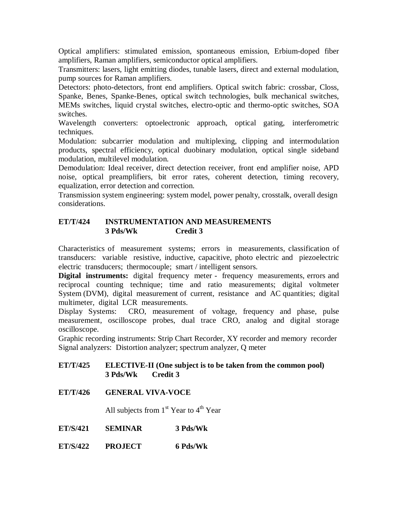Optical amplifiers: stimulated emission, spontaneous emission, Erbium-doped fiber amplifiers, Raman amplifiers, semiconductor optical amplifiers.

Transmitters: lasers, light emitting diodes, tunable lasers, direct and external modulation, pump sources for Raman amplifiers.

Detectors: photo-detectors, front end amplifiers. Optical switch fabric: crossbar, Closs, Spanke, Benes, Spanke-Benes, optical switch technologies, bulk mechanical switches, MEMs switches, liquid crystal switches, electro-optic and thermo-optic switches, SOA switches.

Wavelength converters: optoelectronic approach, optical gating, interferometric techniques.

Modulation: subcarrier modulation and multiplexing, clipping and intermodulation products, spectral efficiency, optical duobinary modulation, optical single sideband modulation, multilevel modulation.

Demodulation: Ideal receiver, direct detection receiver, front end amplifier noise, APD noise, optical preamplifiers, bit error rates, coherent detection, timing recovery, equalization, error detection and correction.

Transmission system engineering: system model, power penalty, crosstalk, overall design considerations.

# **ET/T/424 INSTRUMENTATION AND MEASUREMENTS 3 Pds/Wk Credit 3**

Characteristics of measurement systems; errors in measurements, classification of transducers: variable resistive, inductive, capacitive, photo electric and piezoelectric electric transducers; thermocouple; smart / intelligent sensors.

**Digital instruments:** digital frequency meter - frequency measurements, errors and reciprocal counting technique; time and ratio measurements; digital voltmeter System (DVM), digital measurement of current, resistance and AC quantities; digital multimeter, digital LCR measurements.

Display Systems: CRO, measurement of voltage, frequency and phase, pulse measurement, oscilloscope probes, dual trace CRO, analog and digital storage oscilloscope.

Graphic recording instruments: Strip Chart Recorder, XY recorder and memory recorder Signal analyzers: Distortion analyzer; spectrum analyzer, Q meter

# **ET/T/425 ELECTIVE-II (One subject is to be taken from the common pool) 3 Pds/Wk Credit 3**

**ET/T/426 GENERAL VIVA-VOCE**

All subjects from  $1<sup>st</sup>$  Year to  $4<sup>th</sup>$  Year

- **ET/S/421 SEMINAR 3 Pds/Wk**
- **ET/S/422 PROJECT 6 Pds/Wk**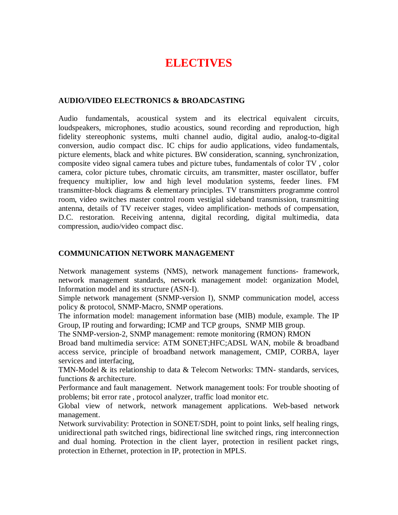# **ELECTIVES**

# **AUDIO/VIDEO ELECTRONICS & BROADCASTING**

Audio fundamentals, acoustical system and its electrical equivalent circuits, loudspeakers, microphones, studio acoustics, sound recording and reproduction, high fidelity stereophonic systems, multi channel audio, digital audio, analog-to-digital conversion, audio compact disc. IC chips for audio applications, video fundamentals, picture elements, black and white pictures. BW consideration, scanning, synchronization, composite video signal camera tubes and picture tubes, fundamentals of color TV , color camera, color picture tubes, chromatic circuits, am transmitter, master oscillator, buffer frequency multiplier, low and high level modulation systems, feeder lines. FM transmitter-block diagrams & elementary principles. TV transmitters programme control room, video switches master control room vestigial sideband transmission, transmitting antenna, details of TV receiver stages, video amplification- methods of compensation, D.C. restoration. Receiving antenna, digital recording, digital multimedia, data compression, audio/video compact disc.

# **COMMUNICATION NETWORK MANAGEMENT**

Network management systems (NMS), network management functions- framework, network management standards, network management model: organization Model, Information model and its structure (ASN-I).

Simple network management (SNMP-version I), SNMP communication model, access policy & protocol, SNMP-Macro, SNMP operations.

The information model: management information base (MIB) module, example. The IP Group, IP routing and forwarding; ICMP and TCP groups, SNMP MIB group.

The SNMP-version-2, SNMP management: remote monitoring (RMON) RMON

Broad band multimedia service: ATM SONET;HFC;ADSL WAN, mobile & broadband access service, principle of broadband network management, CMIP, CORBA, layer services and interfacing,

TMN-Model & its relationship to data & Telecom Networks: TMN- standards, services, functions & architecture.

Performance and fault management. Network management tools: For trouble shooting of problems; bit error rate , protocol analyzer, traffic load monitor etc.

Global view of network, network management applications. Web-based network management.

Network survivability: Protection in SONET/SDH, point to point links, self healing rings, unidirectional path switched rings, bidirectional line switched rings, ring interconnection and dual homing. Protection in the client layer, protection in resilient packet rings, protection in Ethernet, protection in IP, protection in MPLS.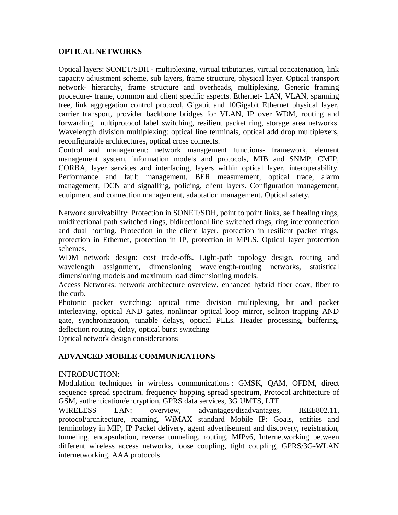# **OPTICAL NETWORKS**

Optical layers: SONET/SDH - multiplexing, virtual tributaries, virtual concatenation, link capacity adjustment scheme, sub layers, frame structure, physical layer. Optical transport network- hierarchy, frame structure and overheads, multiplexing. Generic framing procedure- frame, common and client specific aspects. Ethernet- LAN, VLAN, spanning tree, link aggregation control protocol, Gigabit and 10Gigabit Ethernet physical layer, carrier transport, provider backbone bridges for VLAN, IP over WDM, routing and forwarding, multiprotocol label switching, resilient packet ring, storage area networks. Wavelength division multiplexing: optical line terminals, optical add drop multiplexers, reconfigurable architectures, optical cross connects.

Control and management: network management functions- framework, element management system, information models and protocols, MIB and SNMP, CMIP, CORBA, layer services and interfacing, layers within optical layer, interoperability. Performance and fault management, BER measurement, optical trace, alarm management, DCN and signalling, policing, client layers. Configuration management, equipment and connection management, adaptation management. Optical safety.

Network survivability: Protection in SONET/SDH, point to point links, self healing rings, unidirectional path switched rings, bidirectional line switched rings, ring interconnection and dual homing. Protection in the client layer, protection in resilient packet rings, protection in Ethernet, protection in IP, protection in MPLS. Optical layer protection schemes.

WDM network design: cost trade-offs. Light-path topology design, routing and wavelength assignment, dimensioning wavelength-routing networks, statistical dimensioning models and maximum load dimensioning models.

Access Networks: network architecture overview, enhanced hybrid fiber coax, fiber to the curb.

Photonic packet switching: optical time division multiplexing, bit and packet interleaving, optical AND gates, nonlinear optical loop mirror, soliton trapping AND gate, synchronization, tunable delays, optical PLLs. Header processing, buffering, deflection routing, delay, optical burst switching

Optical network design considerations

# **ADVANCED MOBILE COMMUNICATIONS**

# INTRODUCTION:

Modulation techniques in wireless communications : GMSK, QAM, OFDM, direct sequence spread spectrum, frequency hopping spread spectrum, Protocol architecture of GSM, authentication/encryption, GPRS data services, 3G UMTS, LTE

WIRELESS LAN: overview, advantages/disadvantages, IEEE802.11, protocol/architecture, roaming, WiMAX standard Mobile IP: Goals, entities and terminology in MIP, IP Packet delivery, agent advertisement and discovery, registration, tunneling, encapsulation, reverse tunneling, routing, MIPv6, Internetworking between different wireless access networks, loose coupling, tight coupling, GPRS/3G-WLAN internetworking, AAA protocols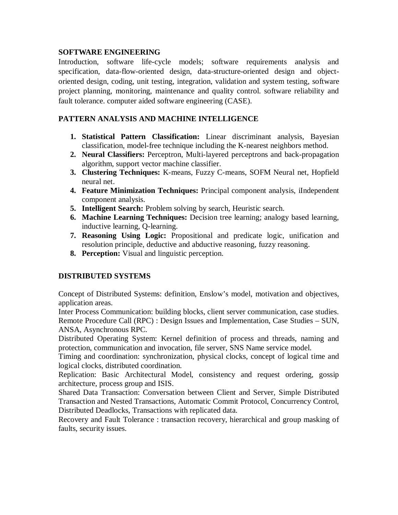# **SOFTWARE ENGINEERING**

Introduction, software life-cycle models; software requirements analysis and specification, data-flow-oriented design, data-structure-oriented design and objectoriented design, coding, unit testing, integration, validation and system testing, software project planning, monitoring, maintenance and quality control. software reliability and fault tolerance. computer aided software engineering (CASE).

# **PATTERN ANALYSIS AND MACHINE INTELLIGENCE**

- **1. Statistical Pattern Classification:** Linear discriminant analysis, Bayesian classification, model-free technique including the K-nearest neighbors method.
- **2. Neural Classifiers:** Perceptron, Multi-layered perceptrons and back-propagation algorithm, support vector machine classifier.
- **3. Clustering Techniques:** K-means, Fuzzy C-means, SOFM Neural net, Hopfield neural net.
- **4. Feature Minimization Techniques:** Principal component analysis, iIndependent component analysis.
- **5. Intelligent Search:** Problem solving by search, Heuristic search.
- **6. Machine Learning Techniques:** Decision tree learning; analogy based learning, inductive learning, Q-learning.
- **7. Reasoning Using Logic:** Propositional and predicate logic, unification and resolution principle, deductive and abductive reasoning, fuzzy reasoning.
- **8. Perception:** Visual and linguistic perception.

# **DISTRIBUTED SYSTEMS**

Concept of Distributed Systems: definition, Enslow's model, motivation and objectives, application areas.

Inter Process Communication: building blocks, client server communication, case studies. Remote Procedure Call (RPC) : Design Issues and Implementation, Case Studies – SUN, ANSA, Asynchronous RPC.

Distributed Operating System: Kernel definition of process and threads, naming and protection, communication and invocation, file server, SNS Name service model.

Timing and coordination: synchronization, physical clocks, concept of logical time and logical clocks, distributed coordination.

Replication: Basic Architectural Model, consistency and request ordering, gossip architecture, process group and ISIS.

Shared Data Transaction: Conversation between Client and Server, Simple Distributed Transaction and Nested Transactions, Automatic Commit Protocol, Concurrency Control, Distributed Deadlocks, Transactions with replicated data.

Recovery and Fault Tolerance : transaction recovery, hierarchical and group masking of faults, security issues.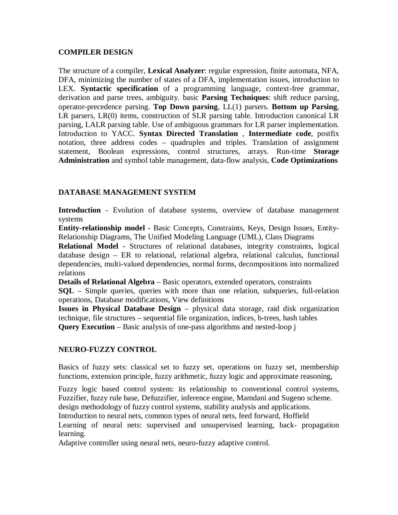# **COMPILER DESIGN**

The structure of a compiler, **Lexical Analyzer**: regular expression, finite automata, NFA, DFA, minimizing the number of states of a DFA, implementation issues, introduction to LEX. **Syntactic specification** of a programming language, context-free grammar, derivation and parse trees, ambiguity. basic **Parsing Techniques**: shift reduce parsing, operator-precedence parsing. **Top Down parsing**, LL(1) parsers. **Bottom up Parsing**, LR parsers, LR(0) items, construction of SLR parsing table. Introduction canonical LR parsing, LALR parsing table. Use of ambiguous grammars for LR parser implementation. Introduction to YACC. **Syntax Directed Translation** , **Intermediate code**, postfix notation, three address codes – quadruples and triples. Translation of assignment statement, Boolean expressions, control structures, arrays. Run-time **Storage Administration** and symbol table management, data-flow analysis, **Code Optimizations**

# **DATABASE MANAGEMENT SYSTEM**

**Introduction** - Evolution of database systems, overview of database management systems

**Entity-relationship model** - Basic Concepts, Constraints, Keys, Design Issues, Entity-Relationship Diagrams, The Unified Modeling Language (UML), Class Diagrams

**Relational Model** - Structures of relational databases, integrity constraints, logical database design – ER to relational, relational algebra, relational calculus, functional dependencies, multi-valued dependencies, normal forms, decompositions into normalized relations

**Details of Relational Algebra** – Basic operators, extended operators, constraints

**SQL** – Simple queries, queries with more than one relation, subqueries, full-relation operations, Database modifications, View definitions

**Issues in Physical Database Design** – physical data storage, raid disk organization technique, file structures – sequential file organization, indices, b-trees, hash tables **Query Execution** – Basic analysis of one-pass algorithms and nested-loop j

# **NEURO-FUZZY CONTROL**

Basics of fuzzy sets: classical set to fuzzy set, operations on fuzzy set, membership functions, extension principle, fuzzy arithmetic, fuzzy logic and approximate reasoning,

Fuzzy logic based control system: its relationship to conventional control systems, Fuzzifier, fuzzy rule base, Defuzzifier, inference engine, Mamdani and Sugeno scheme. design methodology of fuzzy control systems, stability analysis and applications. Introduction to neural nets, common types of neural nets, feed forward, Hoffield Learning of neural nets: supervised and unsupervised learning, back- propagation learning.

Adaptive controller using neural nets, neuro-fuzzy adaptive control.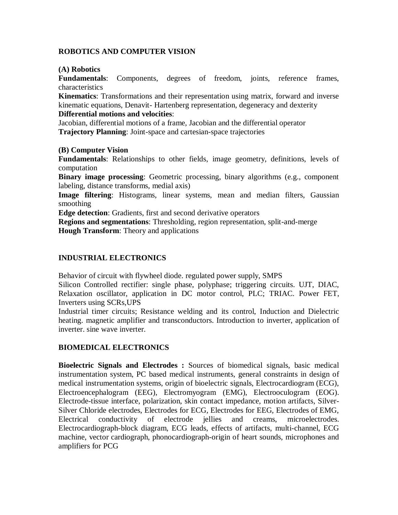# **ROBOTICS AND COMPUTER VISION**

### **(A) Robotics**

**Fundamentals**: Components, degrees of freedom, joints, reference frames, characteristics

**Kinematics**: Transformations and their representation using matrix, forward and inverse kinematic equations, Denavit- Hartenberg representation, degeneracy and dexterity

### **Differential motions and velocities**:

Jacobian, differential motions of a frame, Jacobian and the differential operator **Trajectory Planning**: Joint-space and cartesian-space trajectories

# **(B) Computer Vision**

**Fundamentals**: Relationships to other fields, image geometry, definitions, levels of computation

**Binary image processing**: Geometric processing, binary algorithms (e.g., component labeling, distance transforms, medial axis)

**Image filtering**: Histograms, linear systems, mean and median filters, Gaussian smoothing

**Edge detection**: Gradients, first and second derivative operators

**Regions and segmentations**: Thresholding, region representation, split-and-merge **Hough Transform**: Theory and applications

# **INDUSTRIAL ELECTRONICS**

Behavior of circuit with flywheel diode. regulated power supply, SMPS

Silicon Controlled rectifier: single phase, polyphase; triggering circuits. UJT, DIAC, Relaxation oscillator, application in DC motor control, PLC; TRIAC. Power FET, Inverters using SCRs,UPS

Industrial timer circuits; Resistance welding and its control, Induction and Dielectric heating. magnetic amplifier and transconductors. Introduction to inverter, application of inverter. sine wave inverter.

# **BIOMEDICAL ELECTRONICS**

**Bioelectric Signals and Electrodes :** Sources of biomedical signals, basic medical instrumentation system, PC based medical instruments, general constraints in design of medical instrumentation systems, origin of bioelectric signals, Electrocardiogram (ECG), Electroencephalogram (EEG), Electromyogram (EMG), Electrooculogram (EOG). Electrode-tissue interface, polarization, skin contact impedance, motion artifacts, Silver-Silver Chloride electrodes, Electrodes for ECG, Electrodes for EEG, Electrodes of EMG, Electrical conductivity of electrode jellies and creams, microelectrodes. Electrocardiograph-block diagram, ECG leads, effects of artifacts, multi-channel, ECG machine, vector cardiograph, phonocardiograph-origin of heart sounds, microphones and amplifiers for PCG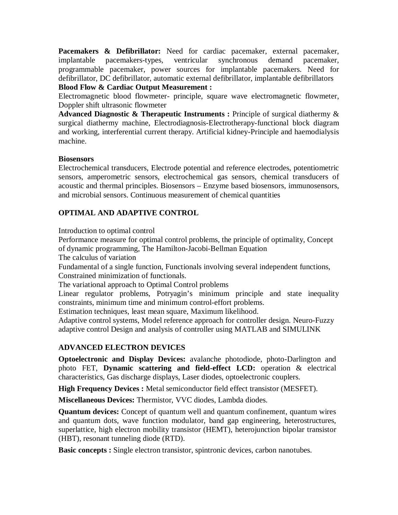Pacemakers & Defibrillator: Need for cardiac pacemaker, external pacemaker, implantable pacemakers-types, ventricular synchronous demand pacemaker, programmable pacemaker, power sources for implantable pacemakers. Need for defibrillator, DC defibrillator, automatic external defibrillator, implantable defibrillators **Blood Flow & Cardiac Output Measurement :**

Electromagnetic blood flowmeter- principle, square wave electromagnetic flowmeter, Doppler shift ultrasonic flowmeter

**Advanced Diagnostic & Therapeutic Instruments :** Principle of surgical diathermy & surgical diathermy machine, Electrodiagnosis-Electrotherapy-functional block diagram and working, interferential current therapy. Artificial kidney-Principle and haemodialysis machine.

# **Biosensors**

Electrochemical transducers, Electrode potential and reference electrodes, potentiometric sensors, amperometric sensors, electrochemical gas sensors, chemical transducers of acoustic and thermal principles. Biosensors – Enzyme based biosensors, immunosensors, and microbial sensors. Continuous measurement of chemical quantities

# **OPTIMAL AND ADAPTIVE CONTROL**

Introduction to optimal control

Performance measure for optimal control problems, the principle of optimality, Concept of dynamic programming, The Hamilton-Jacobi-Bellman Equation

The calculus of variation

Fundamental of a single function, Functionals involving several independent functions, Constrained minimization of functionals.

The variational approach to Optimal Control problems

Linear regulator problems, Potryagin's minimum principle and state inequality constraints, minimum time and minimum control-effort problems.

Estimation techniques, least mean square, Maximum likelihood.

Adaptive control systems, Model reference approach for controller design. Neuro-Fuzzy adaptive control Design and analysis of controller using MATLAB and SIMULINK

# **ADVANCED ELECTRON DEVICES**

**Optoelectronic and Display Devices:** avalanche photodiode, photo-Darlington and photo FET, **Dynamic scattering and field-effect LCD:** operation & electrical characteristics, Gas discharge displays, Laser diodes, optoelectronic couplers.

**High Frequency Devices :** Metal semiconductor field effect transistor (MESFET).

**Miscellaneous Devices:** Thermistor, VVC diodes, Lambda diodes.

**Quantum devices:** Concept of quantum well and quantum confinement, quantum wires and quantum dots, wave function modulator, band gap engineering, heterostructures, superlattice, high electron mobility transistor (HEMT), heterojunction bipolar transistor (HBT), resonant tunneling diode (RTD).

**Basic concepts :** Single electron transistor, spintronic devices, carbon nanotubes.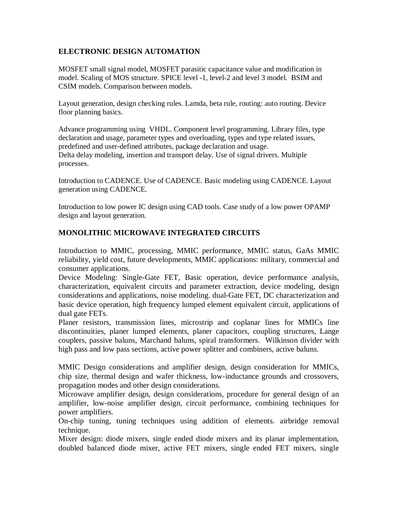# **ELECTRONIC DESIGN AUTOMATION**

MOSFET small signal model, MOSFET parasitic capacitance value and modification in model. Scaling of MOS structure. SPICE level -1, level-2 and level 3 model. BSIM and CSIM models. Comparison between models.

Layout generation, design checking rules. Lamda, beta rule, routing: auto routing. Device floor planning basics.

Advance programming using VHDL. Component level programming. Library files, type declaration and usage, parameter types and overloading, types and type related issues, predefined and user-defined attributes, package declaration and usage. Delta delay modeling, insertion and transport delay. Use of signal drivers. Multiple processes.

Introduction to CADENCE. Use of CADENCE. Basic modeling using CADENCE. Layout generation using CADENCE.

Introduction to low power IC design using CAD tools. Case study of a low power OPAMP design and layout generation.

# **MONOLITHIC MICROWAVE INTEGRATED CIRCUITS**

Introduction to MMIC, processing, MMIC performance, MMIC status, GaAs MMIC reliability, yield cost, future developments, MMIC applications: military, commercial and consumer applications.

Device Modeling: Single-Gate FET, Basic operation, device performance analysis, characterization, equivalent circuits and parameter extraction, device modeling, design considerations and applications, noise modeling. dual-Gate FET, DC characterization and basic device operation, high frequency lumped element equivalent circuit, applications of dual gate FETs.

Planer resistors, transmission lines, microstrip and coplanar lines for MMICs line discontinuities, planer lumped elements, planer capacitors, coupling structures, Lange couplers, passive baluns, Marchand baluns, spiral transformers. Wilkinson divider with high pass and low pass sections, active power splitter and combiners, active baluns.

MMIC Design considerations and amplifier design, design consideration for MMICs, chip size, thermal design and wafer thickness, low-inductance grounds and crossovers, propagation modes and other design considerations.

Microwave amplifier design, design considerations, procedure for general design of an amplifier, low-noise amplifier design, circuit performance, combining techniques for power amplifiers.

On-chip tuning, tuning techniques using addition of elements. airbridge removal technique.

Mixer design: diode mixers, single ended diode mixers and its planar implementation, doubled balanced diode mixer, active FET mixers, single ended FET mixers, single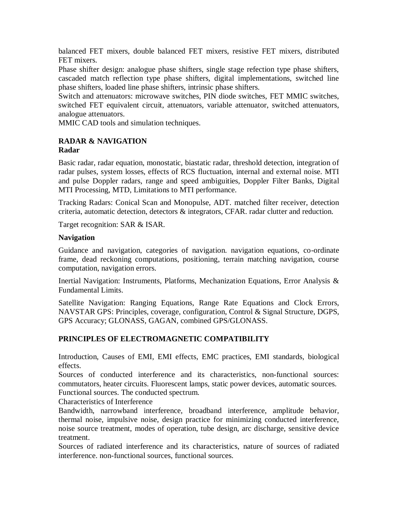balanced FET mixers, double balanced FET mixers, resistive FET mixers, distributed FET mixers.

Phase shifter design: analogue phase shifters, single stage refection type phase shifters, cascaded match reflection type phase shifters, digital implementations, switched line phase shifters, loaded line phase shifters, intrinsic phase shifters.

Switch and attenuators: microwave switches, PIN diode switches, FET MMIC switches, switched FET equivalent circuit, attenuators, variable attenuator, switched attenuators, analogue attenuators.

MMIC CAD tools and simulation techniques.

# **RADAR & NAVIGATION Radar**

Basic radar, radar equation, monostatic, biastatic radar, threshold detection, integration of radar pulses, system losses, effects of RCS fluctuation, internal and external noise. MTI and pulse Doppler radars, range and speed ambiguities, Doppler Filter Banks, Digital MTI Processing, MTD, Limitations to MTI performance.

Tracking Radars: Conical Scan and Monopulse, ADT. matched filter receiver, detection criteria, automatic detection, detectors & integrators, CFAR. radar clutter and reduction.

Target recognition: SAR & ISAR.

# **Navigation**

Guidance and navigation, categories of navigation. navigation equations, co-ordinate frame, dead reckoning computations, positioning, terrain matching navigation, course computation, navigation errors.

Inertial Navigation: Instruments, Platforms, Mechanization Equations, Error Analysis & Fundamental Limits.

Satellite Navigation: Ranging Equations, Range Rate Equations and Clock Errors, NAVSTAR GPS: Principles, coverage, configuration, Control & Signal Structure, DGPS, GPS Accuracy; GLONASS, GAGAN, combined GPS/GLONASS.

# **PRINCIPLES OF ELECTROMAGNETIC COMPATIBILITY**

Introduction, Causes of EMI, EMI effects, EMC practices, EMI standards, biological effects.

Sources of conducted interference and its characteristics, non-functional sources: commutators, heater circuits. Fluorescent lamps, static power devices, automatic sources. Functional sources. The conducted spectrum.

Characteristics of Interference

Bandwidth, narrowband interference, broadband interference, amplitude behavior, thermal noise, impulsive noise, design practice for minimizing conducted interference, noise source treatment, modes of operation, tube design, arc discharge, sensitive device treatment.

Sources of radiated interference and its characteristics, nature of sources of radiated interference. non-functional sources, functional sources.